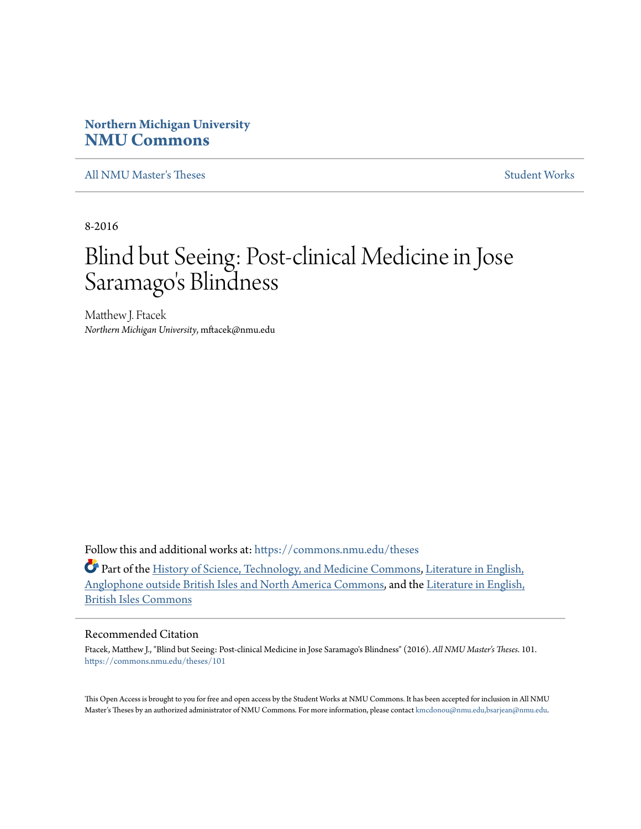# **Northern Michigan University [NMU Commons](https://commons.nmu.edu?utm_source=commons.nmu.edu%2Ftheses%2F101&utm_medium=PDF&utm_campaign=PDFCoverPages)**

[All NMU Master's Theses](https://commons.nmu.edu/theses?utm_source=commons.nmu.edu%2Ftheses%2F101&utm_medium=PDF&utm_campaign=PDFCoverPages) [Student Works](https://commons.nmu.edu/student_works?utm_source=commons.nmu.edu%2Ftheses%2F101&utm_medium=PDF&utm_campaign=PDFCoverPages)

8-2016

# Blind but Seeing: Post-clinical Medicine in Jose Saramago 's Blindness

Matthew J. Ftacek *Northern Michigan University*, mftacek@nmu.edu

Follow this and additional works at: [https://commons.nmu.edu/theses](https://commons.nmu.edu/theses?utm_source=commons.nmu.edu%2Ftheses%2F101&utm_medium=PDF&utm_campaign=PDFCoverPages)

Part of the [History of Science, Technology, and Medicine Commons,](http://network.bepress.com/hgg/discipline/500?utm_source=commons.nmu.edu%2Ftheses%2F101&utm_medium=PDF&utm_campaign=PDFCoverPages) [Literature in English,](http://network.bepress.com/hgg/discipline/457?utm_source=commons.nmu.edu%2Ftheses%2F101&utm_medium=PDF&utm_campaign=PDFCoverPages) [Anglophone outside British Isles and North America Commons,](http://network.bepress.com/hgg/discipline/457?utm_source=commons.nmu.edu%2Ftheses%2F101&utm_medium=PDF&utm_campaign=PDFCoverPages) and the [Literature in English,](http://network.bepress.com/hgg/discipline/456?utm_source=commons.nmu.edu%2Ftheses%2F101&utm_medium=PDF&utm_campaign=PDFCoverPages) [British Isles Commons](http://network.bepress.com/hgg/discipline/456?utm_source=commons.nmu.edu%2Ftheses%2F101&utm_medium=PDF&utm_campaign=PDFCoverPages)

#### Recommended Citation

Ftacek, Matthew J., "Blind but Seeing: Post-clinical Medicine in Jose Saramago's Blindness" (2016). *All NMU Master's Theses*. 101. [https://commons.nmu.edu/theses/101](https://commons.nmu.edu/theses/101?utm_source=commons.nmu.edu%2Ftheses%2F101&utm_medium=PDF&utm_campaign=PDFCoverPages)

This Open Access is brought to you for free and open access by the Student Works at NMU Commons. It has been accepted for inclusion in All NMU Master's Theses by an authorized administrator of NMU Commons. For more information, please contact [kmcdonou@nmu.edu,bsarjean@nmu.edu.](mailto:kmcdonou@nmu.edu,bsarjean@nmu.edu)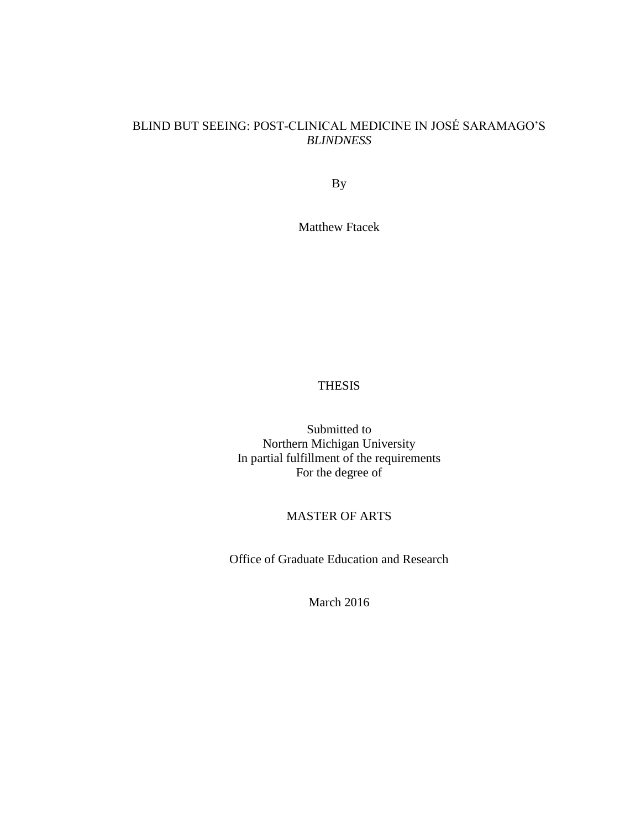# BLIND BUT SEEING: POST-CLINICAL MEDICINE IN JOSÉ SARAMAGO'S *BLINDNESS*

By

Matthew Ftacek

## THESIS

Submitted to Northern Michigan University In partial fulfillment of the requirements For the degree of

# MASTER OF ARTS

Office of Graduate Education and Research

March 2016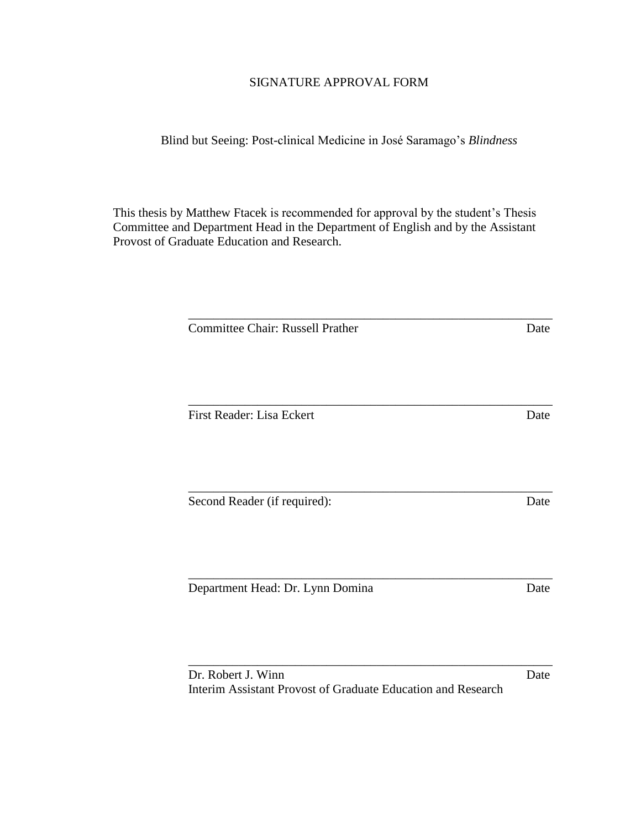## SIGNATURE APPROVAL FORM

Blind but Seeing: Post-clinical Medicine in José Saramago's *Blindness*

This thesis by Matthew Ftacek is recommended for approval by the student's Thesis Committee and Department Head in the Department of English and by the Assistant Provost of Graduate Education and Research.

| <b>Committee Chair: Russell Prather</b>                      |  |
|--------------------------------------------------------------|--|
|                                                              |  |
|                                                              |  |
| First Reader: Lisa Eckert                                    |  |
|                                                              |  |
|                                                              |  |
| Second Reader (if required):                                 |  |
|                                                              |  |
|                                                              |  |
| Department Head: Dr. Lynn Domina                             |  |
|                                                              |  |
|                                                              |  |
| Dr. Robert J. Winn                                           |  |
| Interim Assistant Provost of Graduate Education and Research |  |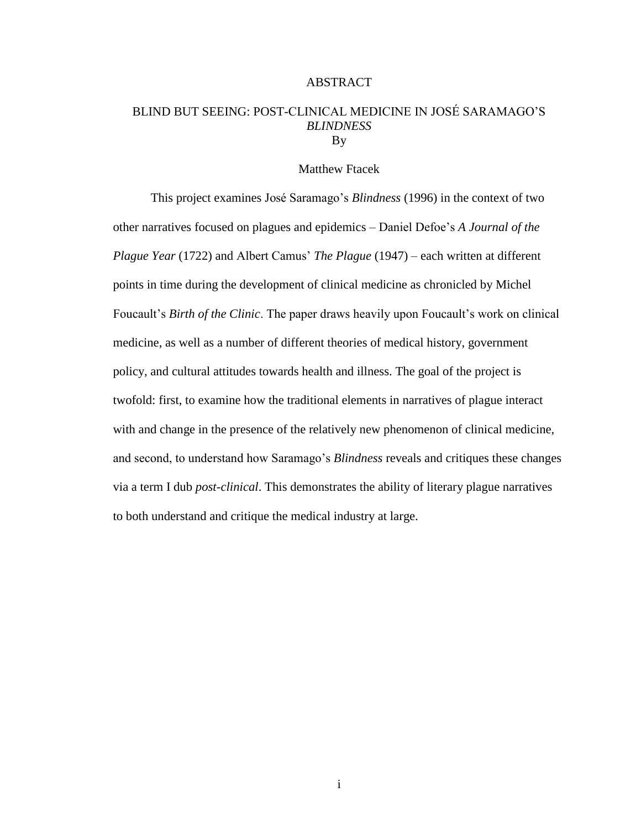#### ABSTRACT

## BLIND BUT SEEING: POST-CLINICAL MEDICINE IN JOSÉ SARAMAGO'S *BLINDNESS* By

#### Matthew Ftacek

This project examines José Saramago's *Blindness* (1996) in the context of two other narratives focused on plagues and epidemics – Daniel Defoe's *A Journal of the Plague Year* (1722) and Albert Camus' *The Plague* (1947) – each written at different points in time during the development of clinical medicine as chronicled by Michel Foucault's *Birth of the Clinic*. The paper draws heavily upon Foucault's work on clinical medicine, as well as a number of different theories of medical history, government policy, and cultural attitudes towards health and illness. The goal of the project is twofold: first, to examine how the traditional elements in narratives of plague interact with and change in the presence of the relatively new phenomenon of clinical medicine, and second, to understand how Saramago's *Blindness* reveals and critiques these changes via a term I dub *post-clinical*. This demonstrates the ability of literary plague narratives to both understand and critique the medical industry at large.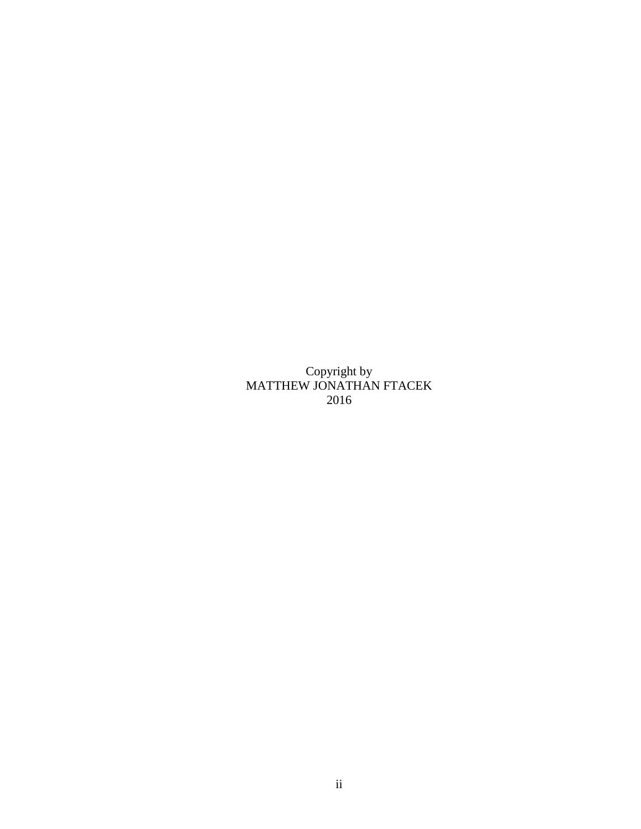Copyright by MATTHEW JONATHAN FTACEK 2016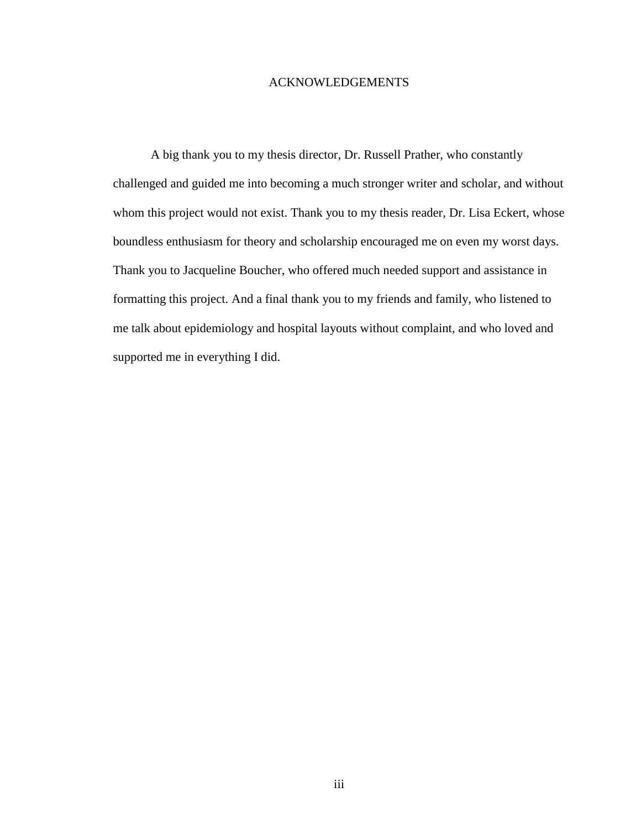#### ACKNOWLEDGEMENTS

A big thank you to my thesis director, Dr. Russell Prather, who constantly challenged and guided me into becoming a much stronger writer and scholar, and without whom this project would not exist. Thank you to my thesis reader, Dr. Lisa Eckert, whose boundless enthusiasm for theory and scholarship encouraged me on even my worst days. Thank you to Jacqueline Boucher, who offered much needed support and assistance in formatting this project. And a final thank you to my friends and family, who listened to me talk about epidemiology and hospital layouts without complaint, and who loved and supported me in everything I did.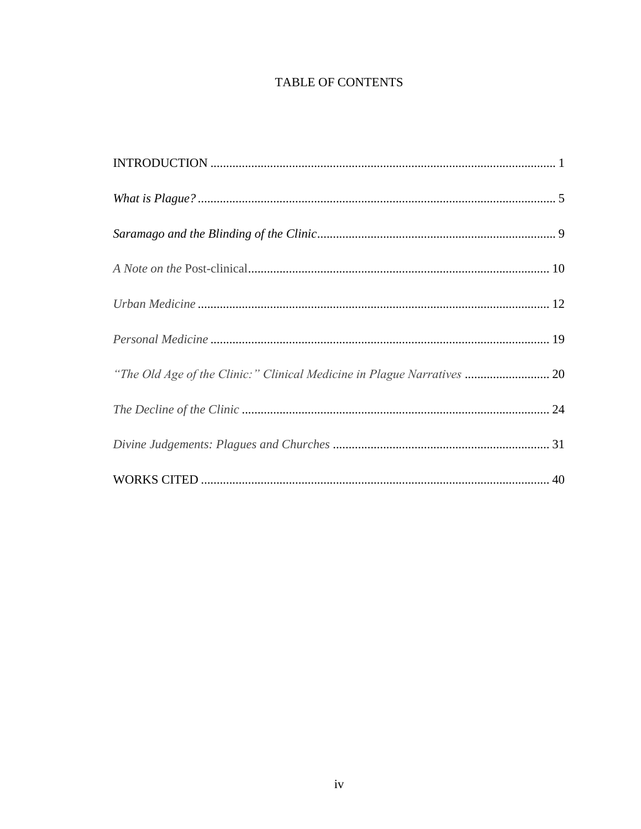# **TABLE OF CONTENTS**

| "The Old Age of the Clinic:" Clinical Medicine in Plague Narratives  20 |
|-------------------------------------------------------------------------|
|                                                                         |
|                                                                         |
|                                                                         |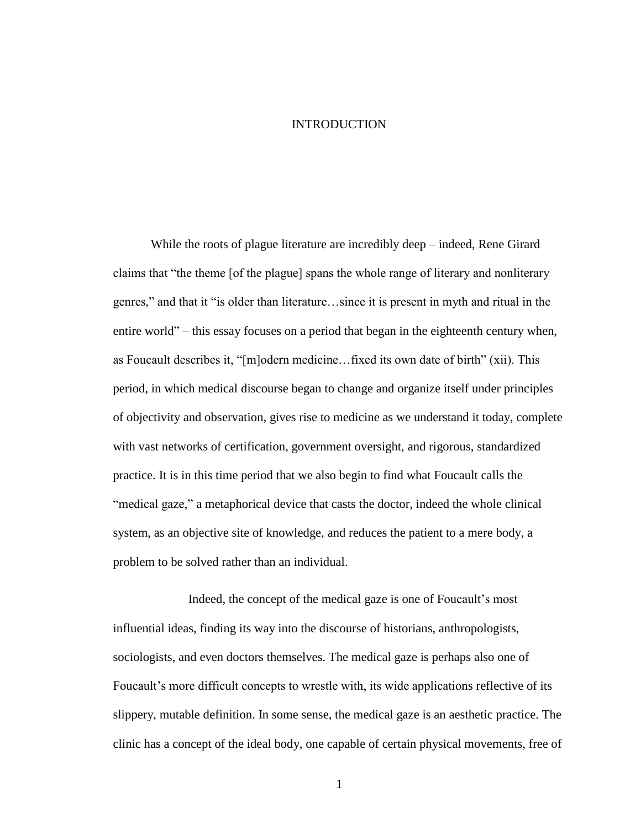#### INTRODUCTION

While the roots of plague literature are incredibly deep – indeed, Rene Girard claims that "the theme [of the plague] spans the whole range of literary and nonliterary genres," and that it "is older than literature…since it is present in myth and ritual in the entire world" – this essay focuses on a period that began in the eighteenth century when, as Foucault describes it, "[m]odern medicine…fixed its own date of birth" (xii). This period, in which medical discourse began to change and organize itself under principles of objectivity and observation, gives rise to medicine as we understand it today, complete with vast networks of certification, government oversight, and rigorous, standardized practice. It is in this time period that we also begin to find what Foucault calls the "medical gaze," a metaphorical device that casts the doctor, indeed the whole clinical system, as an objective site of knowledge, and reduces the patient to a mere body, a problem to be solved rather than an individual.

Indeed, the concept of the medical gaze is one of Foucault's most influential ideas, finding its way into the discourse of historians, anthropologists, sociologists, and even doctors themselves. The medical gaze is perhaps also one of Foucault's more difficult concepts to wrestle with, its wide applications reflective of its slippery, mutable definition. In some sense, the medical gaze is an aesthetic practice. The clinic has a concept of the ideal body, one capable of certain physical movements, free of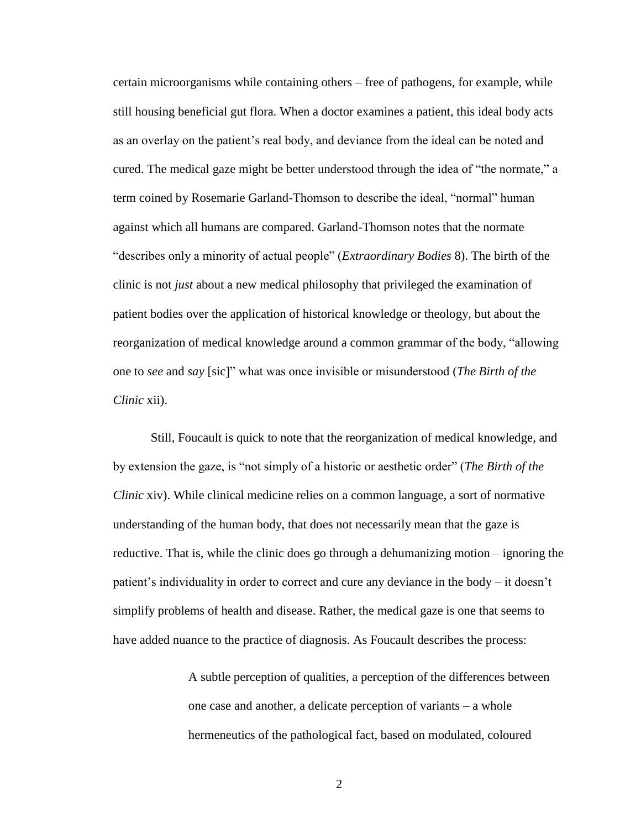certain microorganisms while containing others – free of pathogens, for example, while still housing beneficial gut flora. When a doctor examines a patient, this ideal body acts as an overlay on the patient's real body, and deviance from the ideal can be noted and cured. The medical gaze might be better understood through the idea of "the normate," a term coined by Rosemarie Garland-Thomson to describe the ideal, "normal" human against which all humans are compared. Garland-Thomson notes that the normate "describes only a minority of actual people" (*Extraordinary Bodies* 8). The birth of the clinic is not *just* about a new medical philosophy that privileged the examination of patient bodies over the application of historical knowledge or theology, but about the reorganization of medical knowledge around a common grammar of the body, "allowing one to *see* and *say* [sic]" what was once invisible or misunderstood (*The Birth of the Clinic* xii).

Still, Foucault is quick to note that the reorganization of medical knowledge, and by extension the gaze, is "not simply of a historic or aesthetic order" (*The Birth of the Clinic* xiv). While clinical medicine relies on a common language, a sort of normative understanding of the human body, that does not necessarily mean that the gaze is reductive. That is, while the clinic does go through a dehumanizing motion – ignoring the patient's individuality in order to correct and cure any deviance in the body – it doesn't simplify problems of health and disease. Rather, the medical gaze is one that seems to have added nuance to the practice of diagnosis. As Foucault describes the process:

> A subtle perception of qualities, a perception of the differences between one case and another, a delicate perception of variants – a whole hermeneutics of the pathological fact, based on modulated, coloured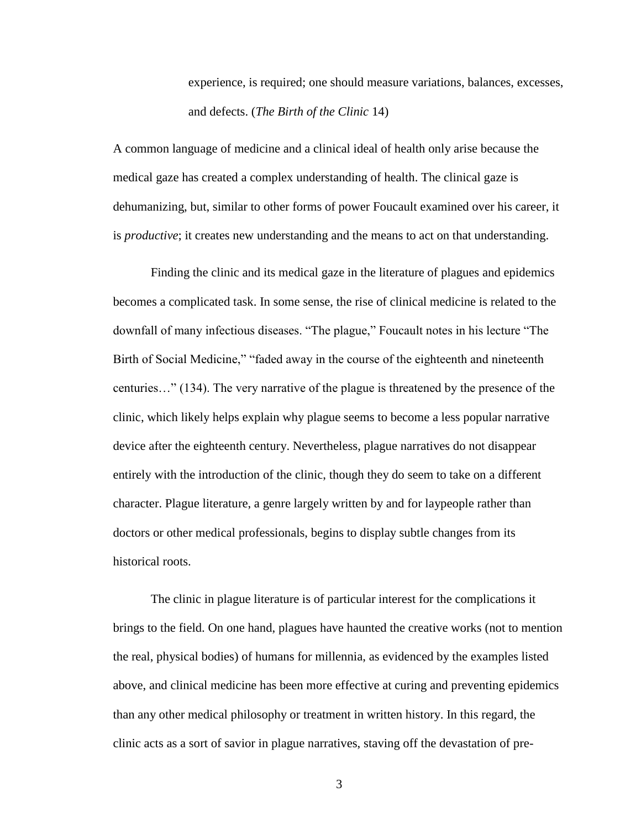experience, is required; one should measure variations, balances, excesses, and defects. (*The Birth of the Clinic* 14)

A common language of medicine and a clinical ideal of health only arise because the medical gaze has created a complex understanding of health. The clinical gaze is dehumanizing, but, similar to other forms of power Foucault examined over his career, it is *productive*; it creates new understanding and the means to act on that understanding.

Finding the clinic and its medical gaze in the literature of plagues and epidemics becomes a complicated task. In some sense, the rise of clinical medicine is related to the downfall of many infectious diseases. "The plague," Foucault notes in his lecture "The Birth of Social Medicine," "faded away in the course of the eighteenth and nineteenth centuries…" (134). The very narrative of the plague is threatened by the presence of the clinic, which likely helps explain why plague seems to become a less popular narrative device after the eighteenth century. Nevertheless, plague narratives do not disappear entirely with the introduction of the clinic, though they do seem to take on a different character. Plague literature, a genre largely written by and for laypeople rather than doctors or other medical professionals, begins to display subtle changes from its historical roots.

The clinic in plague literature is of particular interest for the complications it brings to the field. On one hand, plagues have haunted the creative works (not to mention the real, physical bodies) of humans for millennia, as evidenced by the examples listed above, and clinical medicine has been more effective at curing and preventing epidemics than any other medical philosophy or treatment in written history. In this regard, the clinic acts as a sort of savior in plague narratives, staving off the devastation of pre-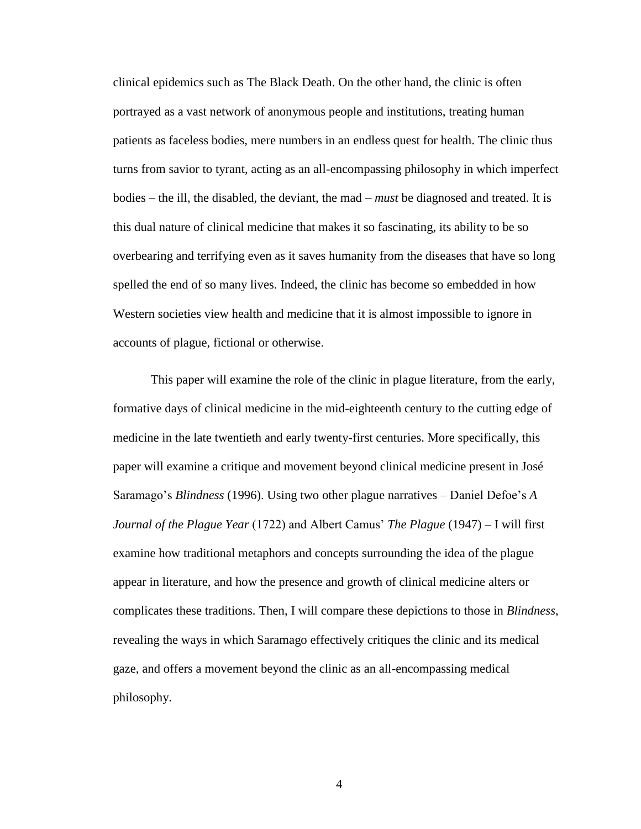clinical epidemics such as The Black Death. On the other hand, the clinic is often portrayed as a vast network of anonymous people and institutions, treating human patients as faceless bodies, mere numbers in an endless quest for health. The clinic thus turns from savior to tyrant, acting as an all-encompassing philosophy in which imperfect bodies – the ill, the disabled, the deviant, the mad – *must* be diagnosed and treated. It is this dual nature of clinical medicine that makes it so fascinating, its ability to be so overbearing and terrifying even as it saves humanity from the diseases that have so long spelled the end of so many lives. Indeed, the clinic has become so embedded in how Western societies view health and medicine that it is almost impossible to ignore in accounts of plague, fictional or otherwise.

This paper will examine the role of the clinic in plague literature, from the early, formative days of clinical medicine in the mid-eighteenth century to the cutting edge of medicine in the late twentieth and early twenty-first centuries. More specifically, this paper will examine a critique and movement beyond clinical medicine present in José Saramago's *Blindness* (1996). Using two other plague narratives – Daniel Defoe's *A Journal of the Plague Year* (1722) and Albert Camus' *The Plague* (1947) – I will first examine how traditional metaphors and concepts surrounding the idea of the plague appear in literature, and how the presence and growth of clinical medicine alters or complicates these traditions. Then, I will compare these depictions to those in *Blindness*, revealing the ways in which Saramago effectively critiques the clinic and its medical gaze, and offers a movement beyond the clinic as an all-encompassing medical philosophy.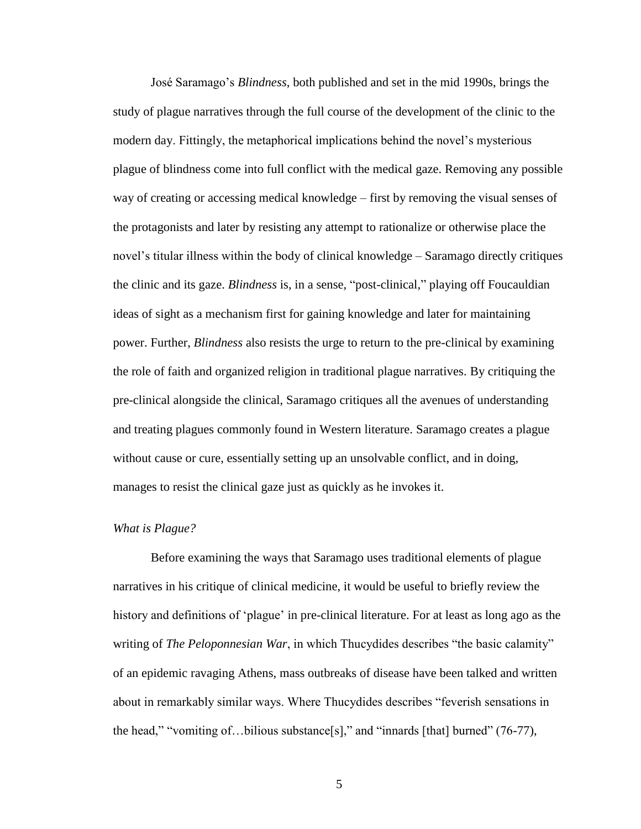José Saramago's *Blindness*, both published and set in the mid 1990s, brings the study of plague narratives through the full course of the development of the clinic to the modern day. Fittingly, the metaphorical implications behind the novel's mysterious plague of blindness come into full conflict with the medical gaze. Removing any possible way of creating or accessing medical knowledge – first by removing the visual senses of the protagonists and later by resisting any attempt to rationalize or otherwise place the novel's titular illness within the body of clinical knowledge – Saramago directly critiques the clinic and its gaze. *Blindness* is, in a sense, "post-clinical," playing off Foucauldian ideas of sight as a mechanism first for gaining knowledge and later for maintaining power. Further, *Blindness* also resists the urge to return to the pre-clinical by examining the role of faith and organized religion in traditional plague narratives. By critiquing the pre-clinical alongside the clinical, Saramago critiques all the avenues of understanding and treating plagues commonly found in Western literature. Saramago creates a plague without cause or cure, essentially setting up an unsolvable conflict, and in doing, manages to resist the clinical gaze just as quickly as he invokes it.

#### *What is Plague?*

Before examining the ways that Saramago uses traditional elements of plague narratives in his critique of clinical medicine, it would be useful to briefly review the history and definitions of 'plague' in pre-clinical literature. For at least as long ago as the writing of *The Peloponnesian War*, in which Thucydides describes "the basic calamity" of an epidemic ravaging Athens, mass outbreaks of disease have been talked and written about in remarkably similar ways. Where Thucydides describes "feverish sensations in the head," "vomiting of…bilious substance[s]," and "innards [that] burned" (76-77),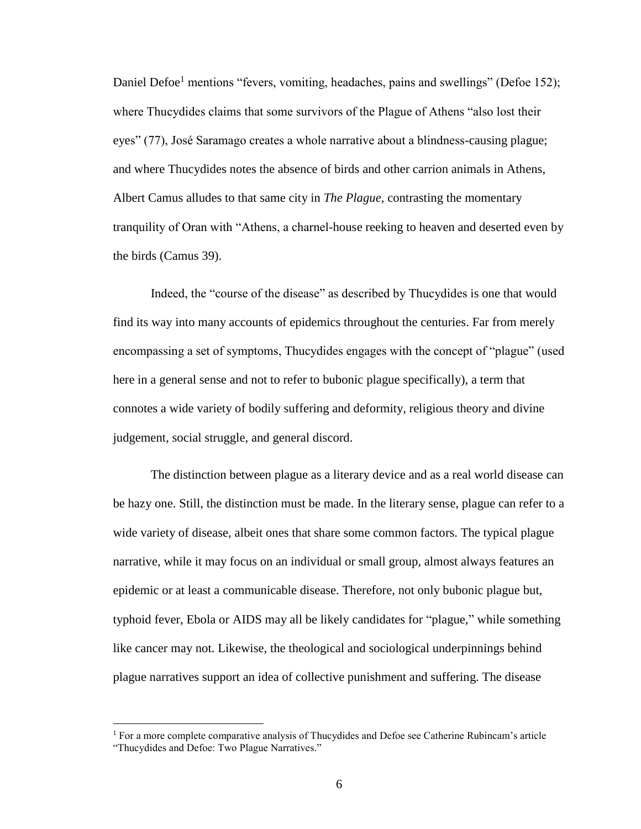Daniel Defoe<sup>1</sup> mentions "fevers, vomiting, headaches, pains and swellings" (Defoe 152); where Thucydides claims that some survivors of the Plague of Athens "also lost their eyes" (77), José Saramago creates a whole narrative about a blindness-causing plague; and where Thucydides notes the absence of birds and other carrion animals in Athens, Albert Camus alludes to that same city in *The Plague*, contrasting the momentary tranquility of Oran with "Athens, a charnel-house reeking to heaven and deserted even by the birds (Camus 39).

Indeed, the "course of the disease" as described by Thucydides is one that would find its way into many accounts of epidemics throughout the centuries. Far from merely encompassing a set of symptoms, Thucydides engages with the concept of "plague" (used here in a general sense and not to refer to bubonic plague specifically), a term that connotes a wide variety of bodily suffering and deformity, religious theory and divine judgement, social struggle, and general discord.

The distinction between plague as a literary device and as a real world disease can be hazy one. Still, the distinction must be made. In the literary sense, plague can refer to a wide variety of disease, albeit ones that share some common factors. The typical plague narrative, while it may focus on an individual or small group, almost always features an epidemic or at least a communicable disease. Therefore, not only bubonic plague but, typhoid fever, Ebola or AIDS may all be likely candidates for "plague," while something like cancer may not. Likewise, the theological and sociological underpinnings behind plague narratives support an idea of collective punishment and suffering. The disease

 $\overline{a}$ 

 $<sup>1</sup>$  For a more complete comparative analysis of Thucydides and Defoe see Catherine Rubincam's article</sup> "Thucydides and Defoe: Two Plague Narratives."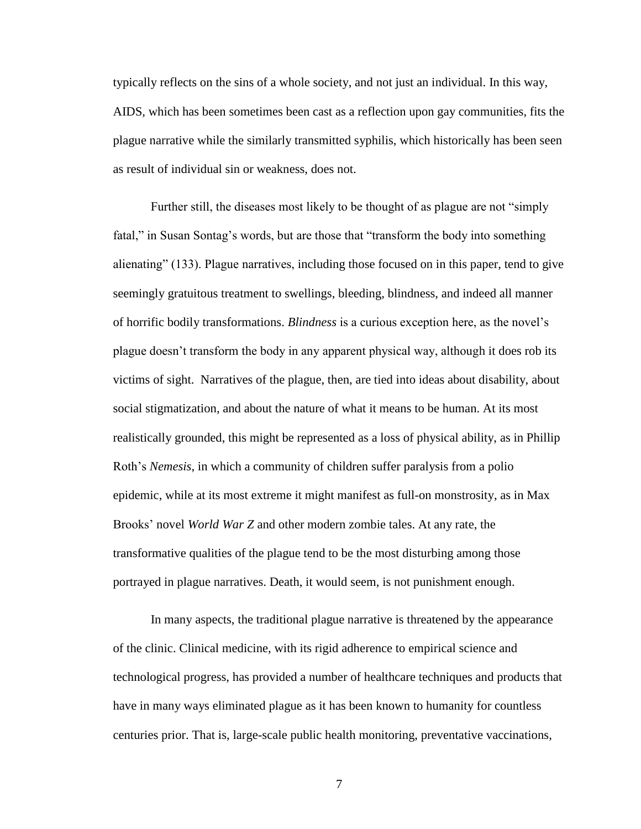typically reflects on the sins of a whole society, and not just an individual. In this way, AIDS, which has been sometimes been cast as a reflection upon gay communities, fits the plague narrative while the similarly transmitted syphilis, which historically has been seen as result of individual sin or weakness, does not.

Further still, the diseases most likely to be thought of as plague are not "simply fatal," in Susan Sontag's words, but are those that "transform the body into something alienating" (133). Plague narratives, including those focused on in this paper, tend to give seemingly gratuitous treatment to swellings, bleeding, blindness, and indeed all manner of horrific bodily transformations. *Blindness* is a curious exception here, as the novel's plague doesn't transform the body in any apparent physical way, although it does rob its victims of sight. Narratives of the plague, then, are tied into ideas about disability, about social stigmatization, and about the nature of what it means to be human. At its most realistically grounded, this might be represented as a loss of physical ability, as in Phillip Roth's *Nemesis*, in which a community of children suffer paralysis from a polio epidemic, while at its most extreme it might manifest as full-on monstrosity, as in Max Brooks' novel *World War Z* and other modern zombie tales. At any rate, the transformative qualities of the plague tend to be the most disturbing among those portrayed in plague narratives. Death, it would seem, is not punishment enough.

In many aspects, the traditional plague narrative is threatened by the appearance of the clinic. Clinical medicine, with its rigid adherence to empirical science and technological progress, has provided a number of healthcare techniques and products that have in many ways eliminated plague as it has been known to humanity for countless centuries prior. That is, large-scale public health monitoring, preventative vaccinations,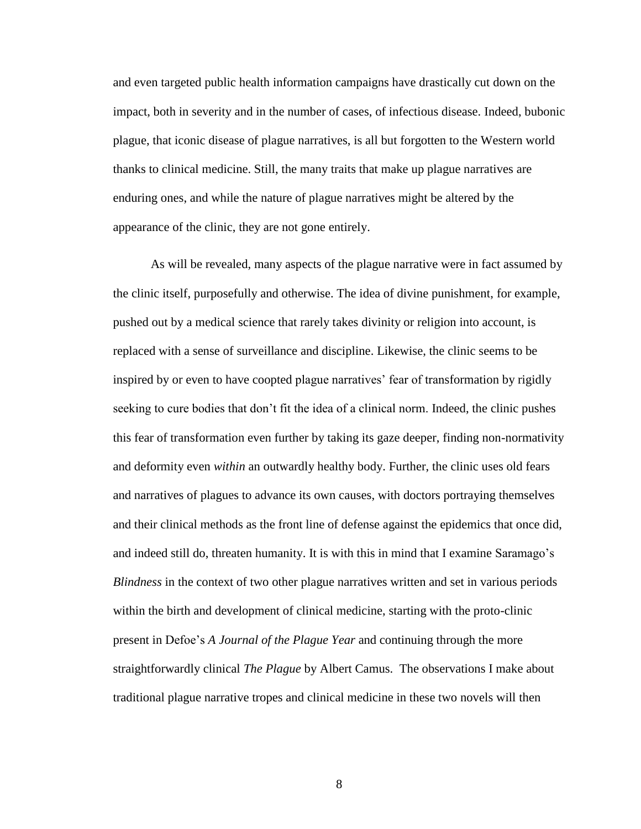and even targeted public health information campaigns have drastically cut down on the impact, both in severity and in the number of cases, of infectious disease. Indeed, bubonic plague, that iconic disease of plague narratives, is all but forgotten to the Western world thanks to clinical medicine. Still, the many traits that make up plague narratives are enduring ones, and while the nature of plague narratives might be altered by the appearance of the clinic, they are not gone entirely.

As will be revealed, many aspects of the plague narrative were in fact assumed by the clinic itself, purposefully and otherwise. The idea of divine punishment, for example, pushed out by a medical science that rarely takes divinity or religion into account, is replaced with a sense of surveillance and discipline. Likewise, the clinic seems to be inspired by or even to have coopted plague narratives' fear of transformation by rigidly seeking to cure bodies that don't fit the idea of a clinical norm. Indeed, the clinic pushes this fear of transformation even further by taking its gaze deeper, finding non-normativity and deformity even *within* an outwardly healthy body. Further, the clinic uses old fears and narratives of plagues to advance its own causes, with doctors portraying themselves and their clinical methods as the front line of defense against the epidemics that once did, and indeed still do, threaten humanity. It is with this in mind that I examine Saramago's *Blindness* in the context of two other plague narratives written and set in various periods within the birth and development of clinical medicine, starting with the proto-clinic present in Defoe's *A Journal of the Plague Year* and continuing through the more straightforwardly clinical *The Plague* by Albert Camus. The observations I make about traditional plague narrative tropes and clinical medicine in these two novels will then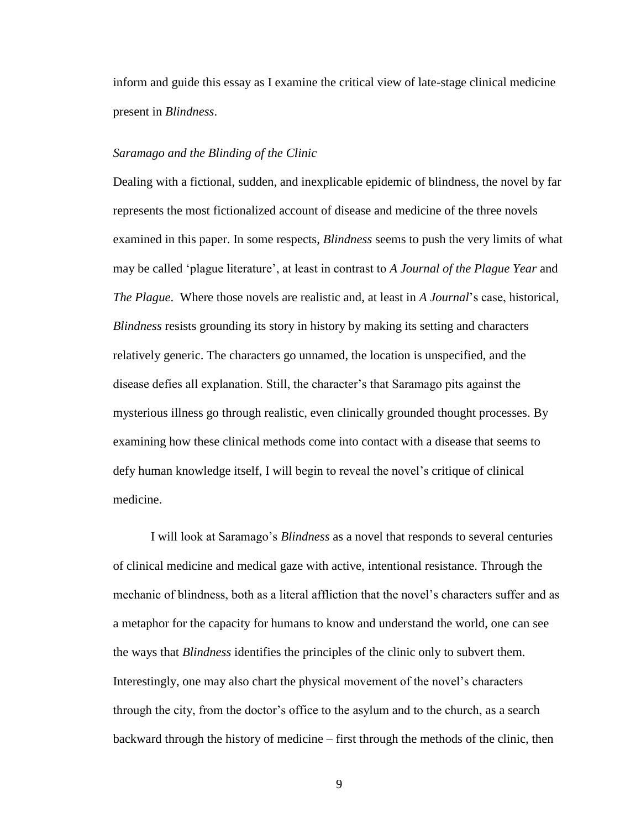inform and guide this essay as I examine the critical view of late-stage clinical medicine present in *Blindness*.

#### *Saramago and the Blinding of the Clinic*

Dealing with a fictional, sudden, and inexplicable epidemic of blindness, the novel by far represents the most fictionalized account of disease and medicine of the three novels examined in this paper. In some respects, *Blindness* seems to push the very limits of what may be called 'plague literature', at least in contrast to *A Journal of the Plague Year* and *The Plague*. Where those novels are realistic and, at least in *A Journal*'s case, historical, *Blindness* resists grounding its story in history by making its setting and characters relatively generic. The characters go unnamed, the location is unspecified, and the disease defies all explanation. Still, the character's that Saramago pits against the mysterious illness go through realistic, even clinically grounded thought processes. By examining how these clinical methods come into contact with a disease that seems to defy human knowledge itself, I will begin to reveal the novel's critique of clinical medicine.

I will look at Saramago's *Blindness* as a novel that responds to several centuries of clinical medicine and medical gaze with active, intentional resistance. Through the mechanic of blindness, both as a literal affliction that the novel's characters suffer and as a metaphor for the capacity for humans to know and understand the world, one can see the ways that *Blindness* identifies the principles of the clinic only to subvert them. Interestingly, one may also chart the physical movement of the novel's characters through the city, from the doctor's office to the asylum and to the church, as a search backward through the history of medicine – first through the methods of the clinic, then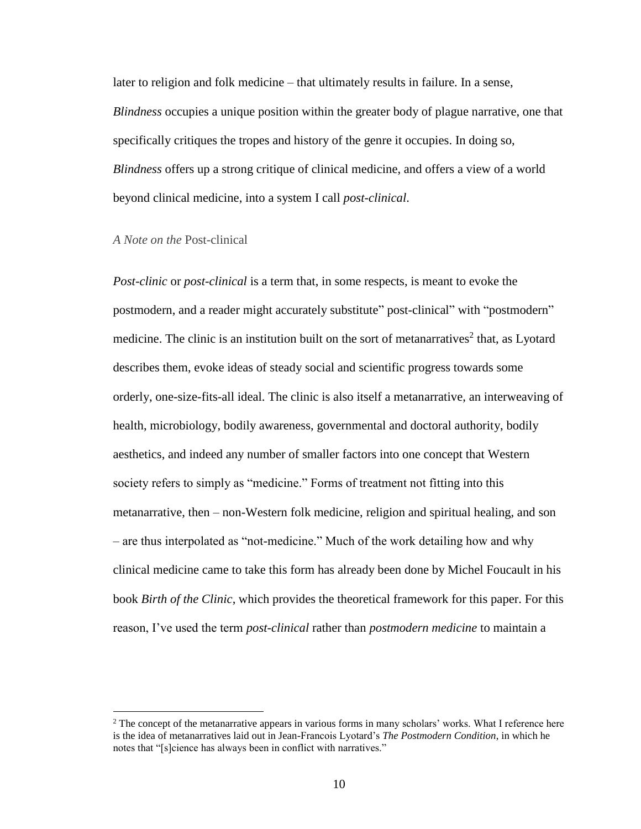later to religion and folk medicine – that ultimately results in failure. In a sense, *Blindness* occupies a unique position within the greater body of plague narrative, one that specifically critiques the tropes and history of the genre it occupies. In doing so, *Blindness* offers up a strong critique of clinical medicine, and offers a view of a world beyond clinical medicine, into a system I call *post-clinical*.

#### *A Note on the* Post-clinical

 $\overline{a}$ 

*Post-clinic* or *post-clinical* is a term that, in some respects, is meant to evoke the postmodern, and a reader might accurately substitute" post-clinical" with "postmodern" medicine. The clinic is an institution built on the sort of metanarratives<sup>2</sup> that, as Lyotard describes them, evoke ideas of steady social and scientific progress towards some orderly, one-size-fits-all ideal. The clinic is also itself a metanarrative, an interweaving of health, microbiology, bodily awareness, governmental and doctoral authority, bodily aesthetics, and indeed any number of smaller factors into one concept that Western society refers to simply as "medicine." Forms of treatment not fitting into this metanarrative, then – non-Western folk medicine, religion and spiritual healing, and son – are thus interpolated as "not-medicine." Much of the work detailing how and why clinical medicine came to take this form has already been done by Michel Foucault in his book *Birth of the Clinic*, which provides the theoretical framework for this paper. For this reason, I've used the term *post-clinical* rather than *postmodern medicine* to maintain a

 $2$  The concept of the metanarrative appears in various forms in many scholars' works. What I reference here is the idea of metanarratives laid out in Jean-Francois Lyotard's *The Postmodern Condition*, in which he notes that "[s]cience has always been in conflict with narratives."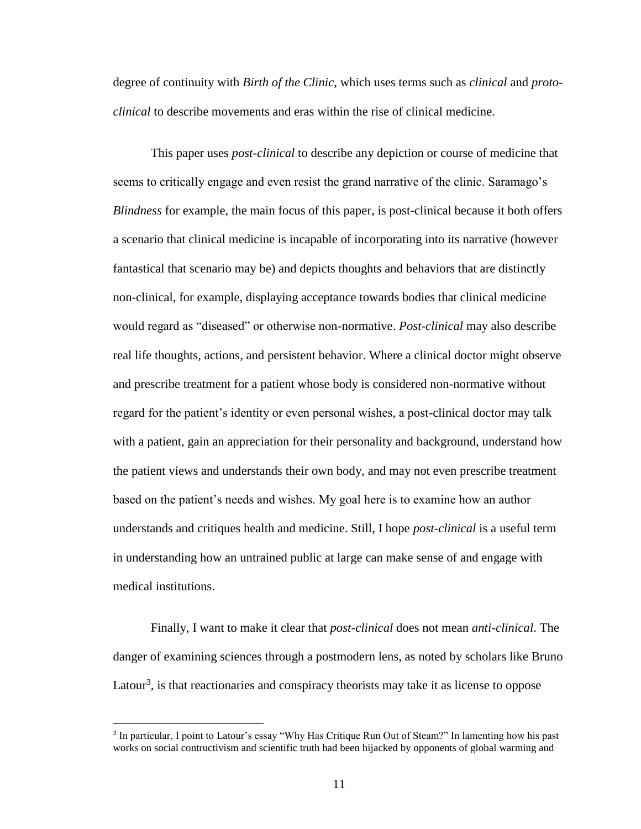degree of continuity with *Birth of the Clinic*, which uses terms such as *clinical* and *protoclinical* to describe movements and eras within the rise of clinical medicine.

This paper uses *post-clinical* to describe any depiction or course of medicine that seems to critically engage and even resist the grand narrative of the clinic. Saramago's *Blindness* for example, the main focus of this paper, is post-clinical because it both offers a scenario that clinical medicine is incapable of incorporating into its narrative (however fantastical that scenario may be) and depicts thoughts and behaviors that are distinctly non-clinical, for example, displaying acceptance towards bodies that clinical medicine would regard as "diseased" or otherwise non-normative. *Post-clinical* may also describe real life thoughts, actions, and persistent behavior. Where a clinical doctor might observe and prescribe treatment for a patient whose body is considered non-normative without regard for the patient's identity or even personal wishes, a post-clinical doctor may talk with a patient, gain an appreciation for their personality and background, understand how the patient views and understands their own body, and may not even prescribe treatment based on the patient's needs and wishes. My goal here is to examine how an author understands and critiques health and medicine. Still, I hope *post-clinical* is a useful term in understanding how an untrained public at large can make sense of and engage with medical institutions.

Finally, I want to make it clear that *post-clinical* does not mean *anti-clinical*. The danger of examining sciences through a postmodern lens, as noted by scholars like Bruno Latour<sup>3</sup>, is that reactionaries and conspiracy theorists may take it as license to oppose

 $\overline{a}$ 

<sup>&</sup>lt;sup>3</sup> In particular, I point to Latour's essay "Why Has Critique Run Out of Steam?" In lamenting how his past works on social contructivism and scientific truth had been hijacked by opponents of global warming and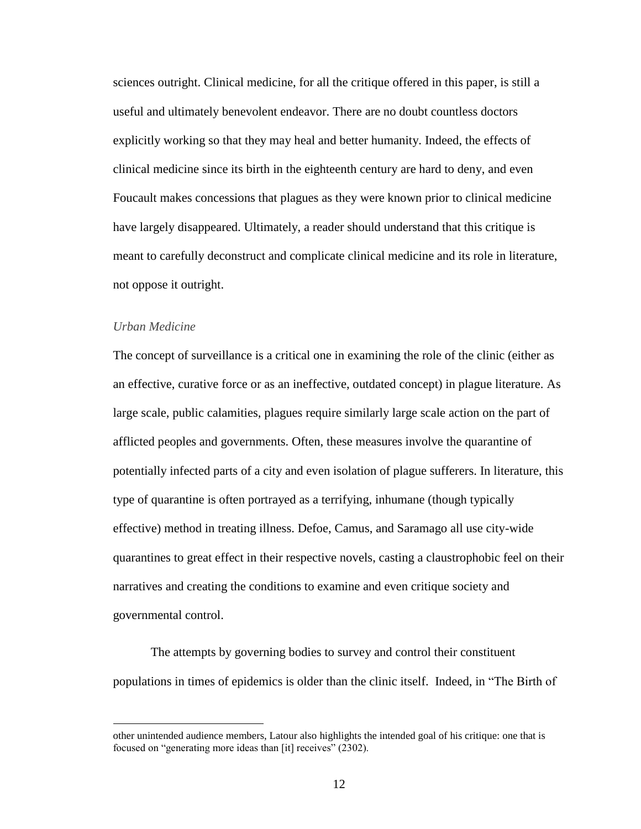sciences outright. Clinical medicine, for all the critique offered in this paper, is still a useful and ultimately benevolent endeavor. There are no doubt countless doctors explicitly working so that they may heal and better humanity. Indeed, the effects of clinical medicine since its birth in the eighteenth century are hard to deny, and even Foucault makes concessions that plagues as they were known prior to clinical medicine have largely disappeared. Ultimately, a reader should understand that this critique is meant to carefully deconstruct and complicate clinical medicine and its role in literature, not oppose it outright.

#### *Urban Medicine*

 $\overline{a}$ 

The concept of surveillance is a critical one in examining the role of the clinic (either as an effective, curative force or as an ineffective, outdated concept) in plague literature. As large scale, public calamities, plagues require similarly large scale action on the part of afflicted peoples and governments. Often, these measures involve the quarantine of potentially infected parts of a city and even isolation of plague sufferers. In literature, this type of quarantine is often portrayed as a terrifying, inhumane (though typically effective) method in treating illness. Defoe, Camus, and Saramago all use city-wide quarantines to great effect in their respective novels, casting a claustrophobic feel on their narratives and creating the conditions to examine and even critique society and governmental control.

The attempts by governing bodies to survey and control their constituent populations in times of epidemics is older than the clinic itself. Indeed, in "The Birth of

other unintended audience members, Latour also highlights the intended goal of his critique: one that is focused on "generating more ideas than [it] receives" (2302).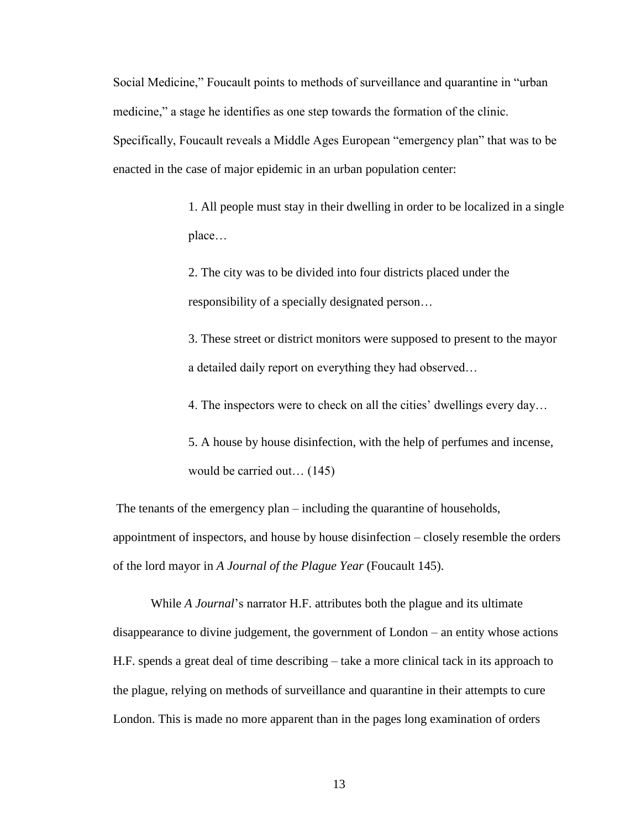Social Medicine," Foucault points to methods of surveillance and quarantine in "urban medicine," a stage he identifies as one step towards the formation of the clinic. Specifically, Foucault reveals a Middle Ages European "emergency plan" that was to be enacted in the case of major epidemic in an urban population center:

> 1. All people must stay in their dwelling in order to be localized in a single place…

2. The city was to be divided into four districts placed under the responsibility of a specially designated person…

3. These street or district monitors were supposed to present to the mayor a detailed daily report on everything they had observed…

4. The inspectors were to check on all the cities' dwellings every day…

5. A house by house disinfection, with the help of perfumes and incense, would be carried out… (145)

The tenants of the emergency plan – including the quarantine of households, appointment of inspectors, and house by house disinfection – closely resemble the orders of the lord mayor in *A Journal of the Plague Year* (Foucault 145).

While *A Journal*'s narrator H.F. attributes both the plague and its ultimate disappearance to divine judgement, the government of London – an entity whose actions H.F. spends a great deal of time describing – take a more clinical tack in its approach to the plague, relying on methods of surveillance and quarantine in their attempts to cure London. This is made no more apparent than in the pages long examination of orders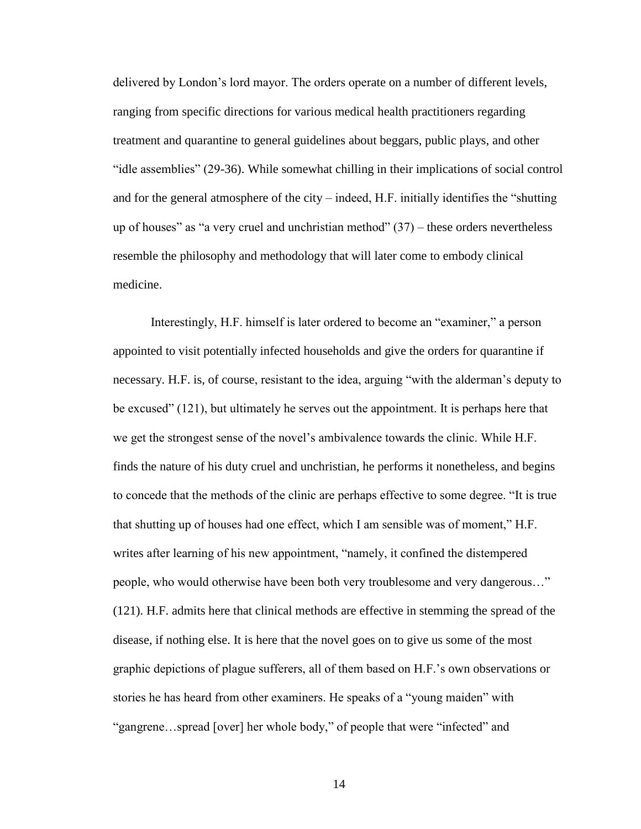delivered by London's lord mayor. The orders operate on a number of different levels, ranging from specific directions for various medical health practitioners regarding treatment and quarantine to general guidelines about beggars, public plays, and other "idle assemblies" (29-36). While somewhat chilling in their implications of social control and for the general atmosphere of the city – indeed, H.F. initially identifies the "shutting up of houses" as "a very cruel and unchristian method"  $(37)$  – these orders nevertheless resemble the philosophy and methodology that will later come to embody clinical medicine.

Interestingly, H.F. himself is later ordered to become an "examiner," a person appointed to visit potentially infected households and give the orders for quarantine if necessary. H.F. is, of course, resistant to the idea, arguing "with the alderman's deputy to be excused" (121), but ultimately he serves out the appointment. It is perhaps here that we get the strongest sense of the novel's ambivalence towards the clinic. While H.F. finds the nature of his duty cruel and unchristian, he performs it nonetheless, and begins to concede that the methods of the clinic are perhaps effective to some degree. "It is true that shutting up of houses had one effect, which I am sensible was of moment," H.F. writes after learning of his new appointment, "namely, it confined the distempered people, who would otherwise have been both very troublesome and very dangerous…" (121). H.F. admits here that clinical methods are effective in stemming the spread of the disease, if nothing else. It is here that the novel goes on to give us some of the most graphic depictions of plague sufferers, all of them based on H.F.'s own observations or stories he has heard from other examiners. He speaks of a "young maiden" with "gangrene…spread [over] her whole body," of people that were "infected" and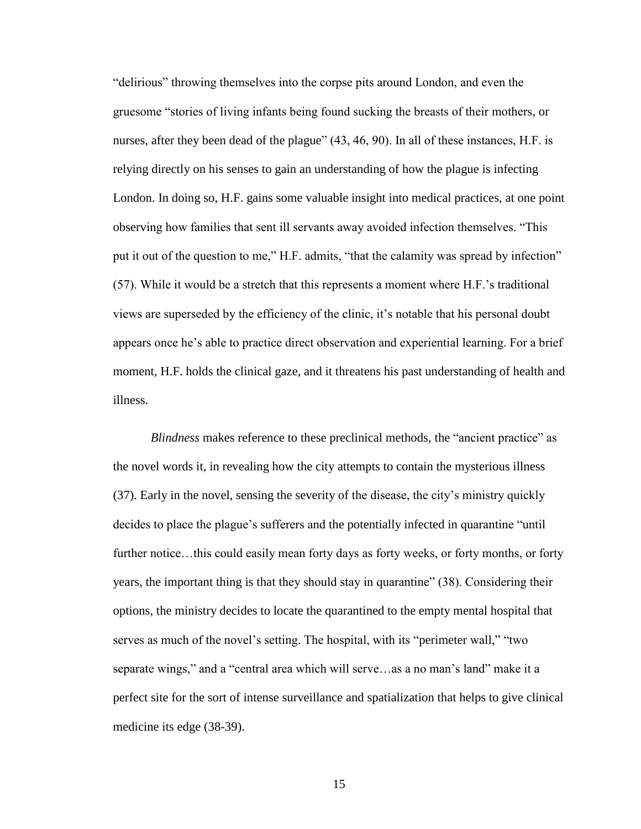"delirious" throwing themselves into the corpse pits around London, and even the gruesome "stories of living infants being found sucking the breasts of their mothers, or nurses, after they been dead of the plague" (43, 46, 90). In all of these instances, H.F. is relying directly on his senses to gain an understanding of how the plague is infecting London. In doing so, H.F. gains some valuable insight into medical practices, at one point observing how families that sent ill servants away avoided infection themselves. "This put it out of the question to me," H.F. admits, "that the calamity was spread by infection" (57). While it would be a stretch that this represents a moment where H.F.'s traditional views are superseded by the efficiency of the clinic, it's notable that his personal doubt appears once he's able to practice direct observation and experiential learning. For a brief moment, H.F. holds the clinical gaze, and it threatens his past understanding of health and illness.

*Blindness* makes reference to these preclinical methods, the "ancient practice" as the novel words it, in revealing how the city attempts to contain the mysterious illness (37). Early in the novel, sensing the severity of the disease, the city's ministry quickly decides to place the plague's sufferers and the potentially infected in quarantine "until further notice…this could easily mean forty days as forty weeks, or forty months, or forty years, the important thing is that they should stay in quarantine" (38). Considering their options, the ministry decides to locate the quarantined to the empty mental hospital that serves as much of the novel's setting. The hospital, with its "perimeter wall," "two separate wings," and a "central area which will serve…as a no man's land" make it a perfect site for the sort of intense surveillance and spatialization that helps to give clinical medicine its edge (38-39).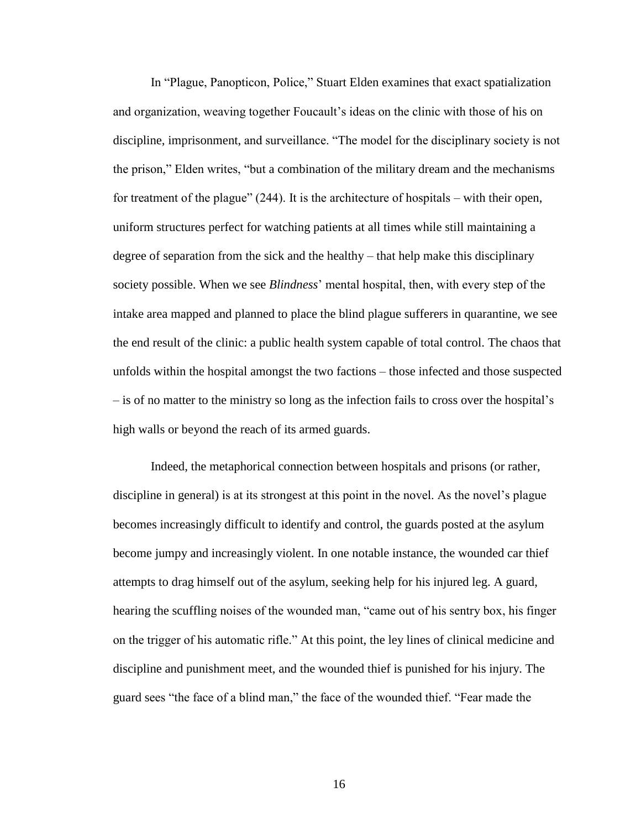In "Plague, Panopticon, Police," Stuart Elden examines that exact spatialization and organization, weaving together Foucault's ideas on the clinic with those of his on discipline, imprisonment, and surveillance. "The model for the disciplinary society is not the prison," Elden writes, "but a combination of the military dream and the mechanisms for treatment of the plague" (244). It is the architecture of hospitals – with their open, uniform structures perfect for watching patients at all times while still maintaining a degree of separation from the sick and the healthy – that help make this disciplinary society possible. When we see *Blindness*' mental hospital, then, with every step of the intake area mapped and planned to place the blind plague sufferers in quarantine, we see the end result of the clinic: a public health system capable of total control. The chaos that unfolds within the hospital amongst the two factions – those infected and those suspected – is of no matter to the ministry so long as the infection fails to cross over the hospital's high walls or beyond the reach of its armed guards.

Indeed, the metaphorical connection between hospitals and prisons (or rather, discipline in general) is at its strongest at this point in the novel. As the novel's plague becomes increasingly difficult to identify and control, the guards posted at the asylum become jumpy and increasingly violent. In one notable instance, the wounded car thief attempts to drag himself out of the asylum, seeking help for his injured leg. A guard, hearing the scuffling noises of the wounded man, "came out of his sentry box, his finger on the trigger of his automatic rifle." At this point, the ley lines of clinical medicine and discipline and punishment meet, and the wounded thief is punished for his injury. The guard sees "the face of a blind man," the face of the wounded thief. "Fear made the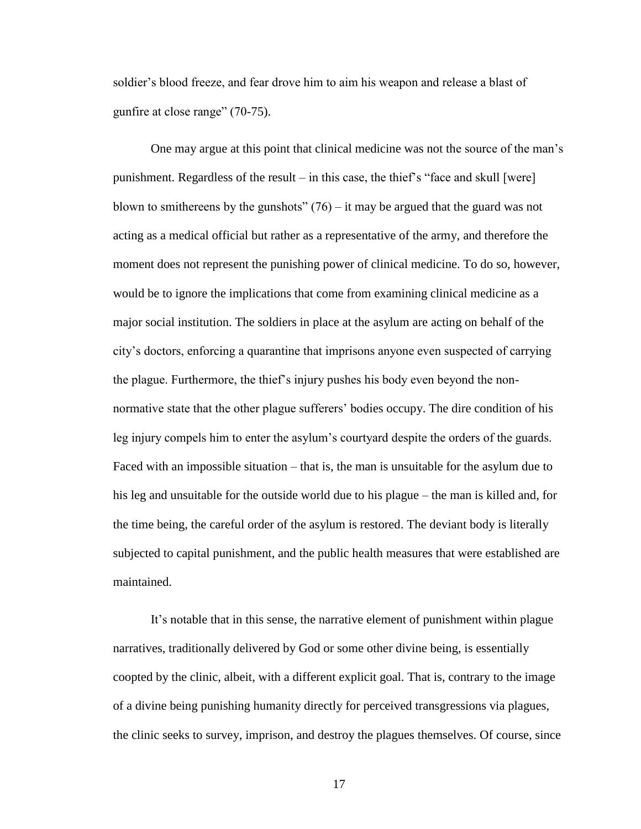soldier's blood freeze, and fear drove him to aim his weapon and release a blast of gunfire at close range" (70-75).

One may argue at this point that clinical medicine was not the source of the man's punishment. Regardless of the result – in this case, the thief's "face and skull [were] blown to smithereens by the gunshots"  $(76)$  – it may be argued that the guard was not acting as a medical official but rather as a representative of the army, and therefore the moment does not represent the punishing power of clinical medicine. To do so, however, would be to ignore the implications that come from examining clinical medicine as a major social institution. The soldiers in place at the asylum are acting on behalf of the city's doctors, enforcing a quarantine that imprisons anyone even suspected of carrying the plague. Furthermore, the thief's injury pushes his body even beyond the nonnormative state that the other plague sufferers' bodies occupy. The dire condition of his leg injury compels him to enter the asylum's courtyard despite the orders of the guards. Faced with an impossible situation – that is, the man is unsuitable for the asylum due to his leg and unsuitable for the outside world due to his plague – the man is killed and, for the time being, the careful order of the asylum is restored. The deviant body is literally subjected to capital punishment, and the public health measures that were established are maintained.

It's notable that in this sense, the narrative element of punishment within plague narratives, traditionally delivered by God or some other divine being, is essentially coopted by the clinic, albeit, with a different explicit goal. That is, contrary to the image of a divine being punishing humanity directly for perceived transgressions via plagues, the clinic seeks to survey, imprison, and destroy the plagues themselves. Of course, since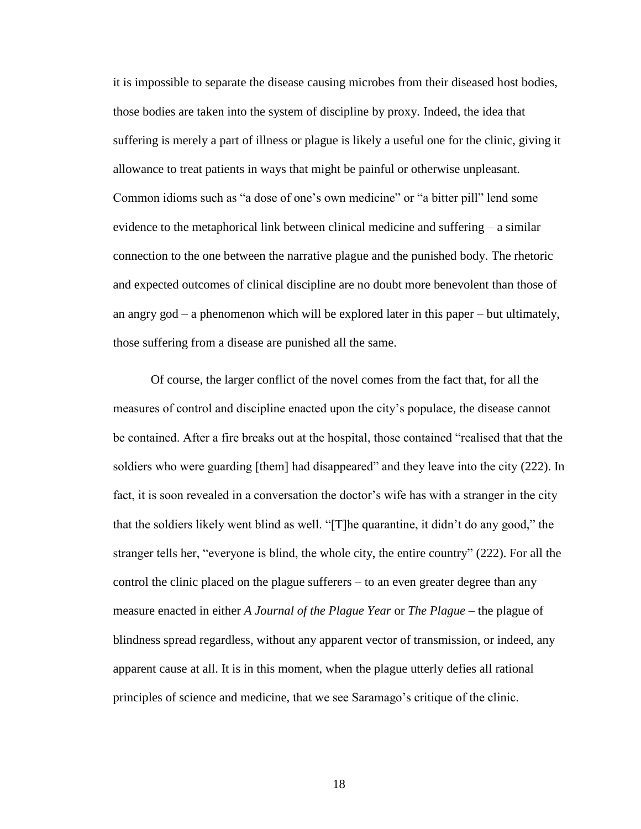it is impossible to separate the disease causing microbes from their diseased host bodies, those bodies are taken into the system of discipline by proxy. Indeed, the idea that suffering is merely a part of illness or plague is likely a useful one for the clinic, giving it allowance to treat patients in ways that might be painful or otherwise unpleasant. Common idioms such as "a dose of one's own medicine" or "a bitter pill" lend some evidence to the metaphorical link between clinical medicine and suffering – a similar connection to the one between the narrative plague and the punished body. The rhetoric and expected outcomes of clinical discipline are no doubt more benevolent than those of an angry god – a phenomenon which will be explored later in this paper – but ultimately, those suffering from a disease are punished all the same.

Of course, the larger conflict of the novel comes from the fact that, for all the measures of control and discipline enacted upon the city's populace, the disease cannot be contained. After a fire breaks out at the hospital, those contained "realised that that the soldiers who were guarding [them] had disappeared" and they leave into the city (222). In fact, it is soon revealed in a conversation the doctor's wife has with a stranger in the city that the soldiers likely went blind as well. "[T]he quarantine, it didn't do any good," the stranger tells her, "everyone is blind, the whole city, the entire country" (222). For all the control the clinic placed on the plague sufferers – to an even greater degree than any measure enacted in either *A Journal of the Plague Year* or *The Plague* – the plague of blindness spread regardless, without any apparent vector of transmission, or indeed, any apparent cause at all. It is in this moment, when the plague utterly defies all rational principles of science and medicine, that we see Saramago's critique of the clinic.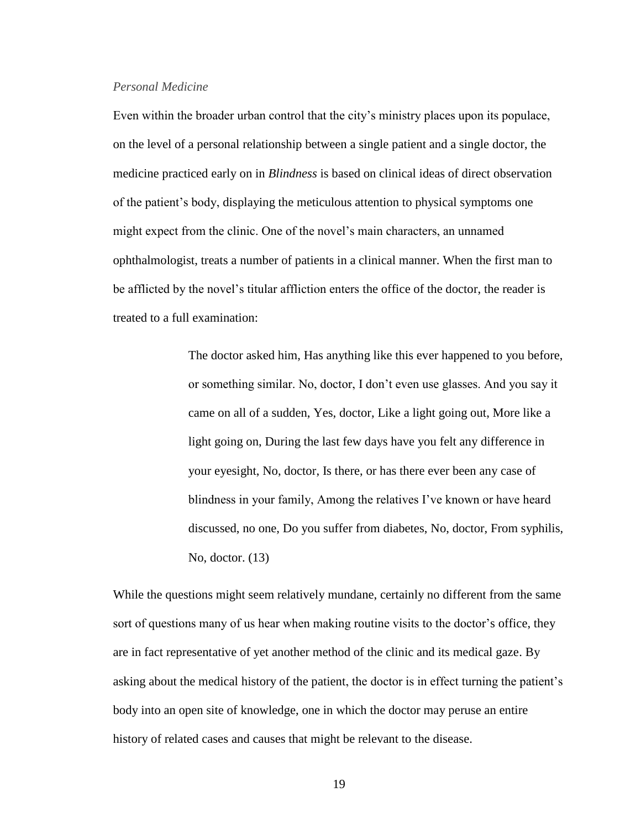#### *Personal Medicine*

Even within the broader urban control that the city's ministry places upon its populace, on the level of a personal relationship between a single patient and a single doctor, the medicine practiced early on in *Blindness* is based on clinical ideas of direct observation of the patient's body, displaying the meticulous attention to physical symptoms one might expect from the clinic. One of the novel's main characters, an unnamed ophthalmologist, treats a number of patients in a clinical manner. When the first man to be afflicted by the novel's titular affliction enters the office of the doctor, the reader is treated to a full examination:

> The doctor asked him, Has anything like this ever happened to you before, or something similar. No, doctor, I don't even use glasses. And you say it came on all of a sudden, Yes, doctor, Like a light going out, More like a light going on, During the last few days have you felt any difference in your eyesight, No, doctor, Is there, or has there ever been any case of blindness in your family, Among the relatives I've known or have heard discussed, no one, Do you suffer from diabetes, No, doctor, From syphilis, No, doctor. (13)

While the questions might seem relatively mundane, certainly no different from the same sort of questions many of us hear when making routine visits to the doctor's office, they are in fact representative of yet another method of the clinic and its medical gaze. By asking about the medical history of the patient, the doctor is in effect turning the patient's body into an open site of knowledge, one in which the doctor may peruse an entire history of related cases and causes that might be relevant to the disease.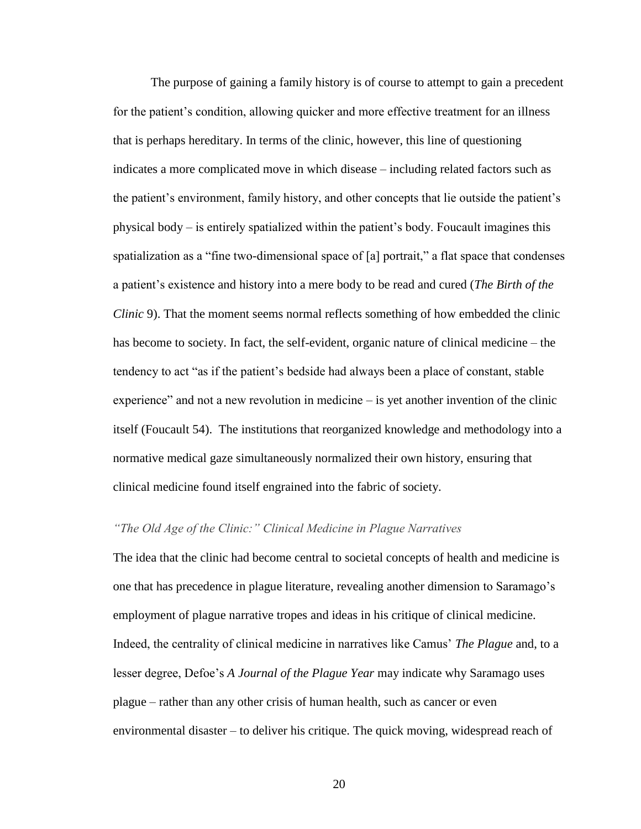The purpose of gaining a family history is of course to attempt to gain a precedent for the patient's condition, allowing quicker and more effective treatment for an illness that is perhaps hereditary. In terms of the clinic, however, this line of questioning indicates a more complicated move in which disease – including related factors such as the patient's environment, family history, and other concepts that lie outside the patient's physical body – is entirely spatialized within the patient's body. Foucault imagines this spatialization as a "fine two-dimensional space of [a] portrait," a flat space that condenses a patient's existence and history into a mere body to be read and cured (*The Birth of the Clinic* 9). That the moment seems normal reflects something of how embedded the clinic has become to society. In fact, the self-evident, organic nature of clinical medicine – the tendency to act "as if the patient's bedside had always been a place of constant, stable experience" and not a new revolution in medicine – is yet another invention of the clinic itself (Foucault 54). The institutions that reorganized knowledge and methodology into a normative medical gaze simultaneously normalized their own history, ensuring that clinical medicine found itself engrained into the fabric of society.

# *"The Old Age of the Clinic:" Clinical Medicine in Plague Narratives*

The idea that the clinic had become central to societal concepts of health and medicine is one that has precedence in plague literature, revealing another dimension to Saramago's employment of plague narrative tropes and ideas in his critique of clinical medicine. Indeed, the centrality of clinical medicine in narratives like Camus' *The Plague* and, to a lesser degree, Defoe's *A Journal of the Plague Year* may indicate why Saramago uses plague – rather than any other crisis of human health, such as cancer or even environmental disaster – to deliver his critique. The quick moving, widespread reach of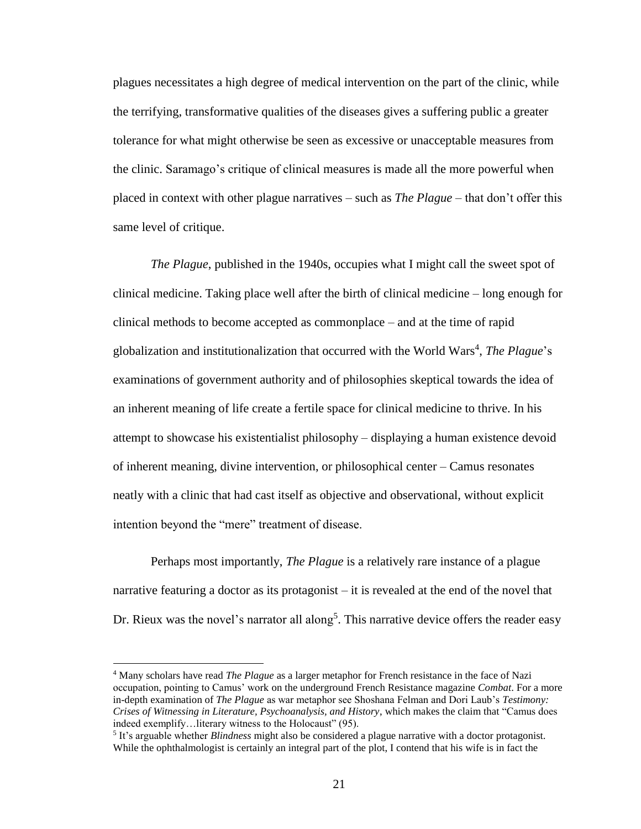plagues necessitates a high degree of medical intervention on the part of the clinic, while the terrifying, transformative qualities of the diseases gives a suffering public a greater tolerance for what might otherwise be seen as excessive or unacceptable measures from the clinic. Saramago's critique of clinical measures is made all the more powerful when placed in context with other plague narratives – such as *The Plague* – that don't offer this same level of critique.

*The Plague*, published in the 1940s, occupies what I might call the sweet spot of clinical medicine. Taking place well after the birth of clinical medicine – long enough for clinical methods to become accepted as commonplace – and at the time of rapid globalization and institutionalization that occurred with the World Wars<sup>4</sup>, The Plague's examinations of government authority and of philosophies skeptical towards the idea of an inherent meaning of life create a fertile space for clinical medicine to thrive. In his attempt to showcase his existentialist philosophy – displaying a human existence devoid of inherent meaning, divine intervention, or philosophical center – Camus resonates neatly with a clinic that had cast itself as objective and observational, without explicit intention beyond the "mere" treatment of disease.

Perhaps most importantly, *The Plague* is a relatively rare instance of a plague narrative featuring a doctor as its protagonist – it is revealed at the end of the novel that Dr. Rieux was the novel's narrator all along<sup>5</sup>. This narrative device offers the reader easy

 $\overline{a}$ 

<sup>4</sup> Many scholars have read *The Plague* as a larger metaphor for French resistance in the face of Nazi occupation, pointing to Camus' work on the underground French Resistance magazine *Combat*. For a more in-depth examination of *The Plague* as war metaphor see Shoshana Felman and Dori Laub's *Testimony: Crises of Witnessing in Literature, Psychoanalysis, and History*, which makes the claim that "Camus does indeed exemplify…literary witness to the Holocaust" (95).

<sup>5</sup> It's arguable whether *Blindness* might also be considered a plague narrative with a doctor protagonist. While the ophthalmologist is certainly an integral part of the plot, I contend that his wife is in fact the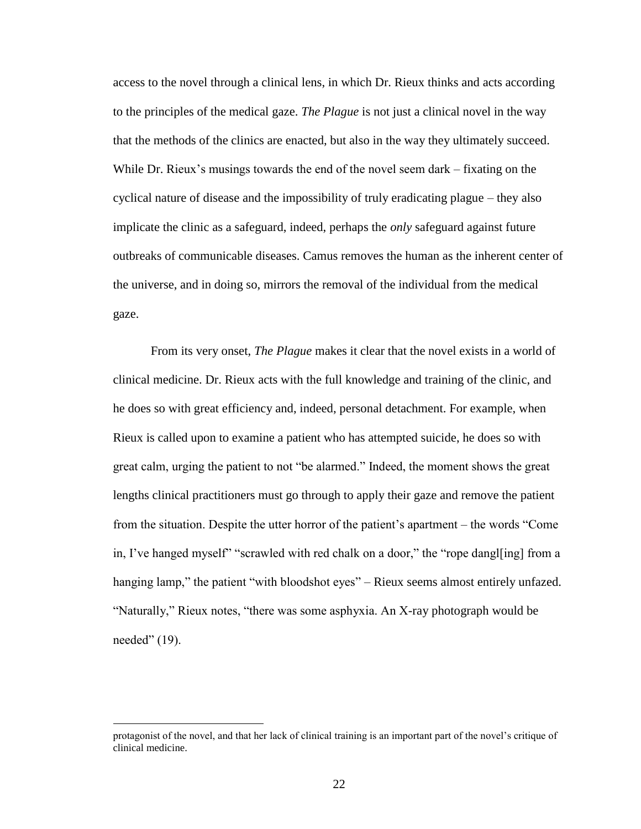access to the novel through a clinical lens, in which Dr. Rieux thinks and acts according to the principles of the medical gaze. *The Plague* is not just a clinical novel in the way that the methods of the clinics are enacted, but also in the way they ultimately succeed. While Dr. Rieux's musings towards the end of the novel seem dark – fixating on the cyclical nature of disease and the impossibility of truly eradicating plague – they also implicate the clinic as a safeguard, indeed, perhaps the *only* safeguard against future outbreaks of communicable diseases. Camus removes the human as the inherent center of the universe, and in doing so, mirrors the removal of the individual from the medical gaze.

From its very onset, *The Plague* makes it clear that the novel exists in a world of clinical medicine. Dr. Rieux acts with the full knowledge and training of the clinic, and he does so with great efficiency and, indeed, personal detachment. For example, when Rieux is called upon to examine a patient who has attempted suicide, he does so with great calm, urging the patient to not "be alarmed." Indeed, the moment shows the great lengths clinical practitioners must go through to apply their gaze and remove the patient from the situation. Despite the utter horror of the patient's apartment – the words "Come in, I've hanged myself" "scrawled with red chalk on a door," the "rope dangl[ing] from a hanging lamp," the patient "with bloodshot eyes" – Rieux seems almost entirely unfazed. "Naturally," Rieux notes, "there was some asphyxia. An X-ray photograph would be needed" (19).

 $\overline{a}$ 

protagonist of the novel, and that her lack of clinical training is an important part of the novel's critique of clinical medicine.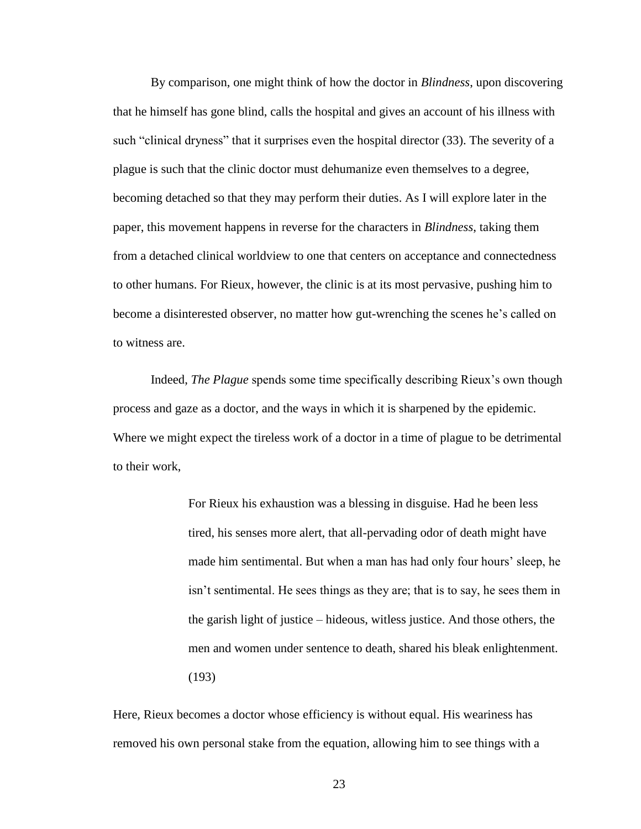By comparison, one might think of how the doctor in *Blindness*, upon discovering that he himself has gone blind, calls the hospital and gives an account of his illness with such "clinical dryness" that it surprises even the hospital director (33). The severity of a plague is such that the clinic doctor must dehumanize even themselves to a degree, becoming detached so that they may perform their duties. As I will explore later in the paper, this movement happens in reverse for the characters in *Blindness*, taking them from a detached clinical worldview to one that centers on acceptance and connectedness to other humans. For Rieux, however, the clinic is at its most pervasive, pushing him to become a disinterested observer, no matter how gut-wrenching the scenes he's called on to witness are.

Indeed, *The Plague* spends some time specifically describing Rieux's own though process and gaze as a doctor, and the ways in which it is sharpened by the epidemic. Where we might expect the tireless work of a doctor in a time of plague to be detrimental to their work,

> For Rieux his exhaustion was a blessing in disguise. Had he been less tired, his senses more alert, that all-pervading odor of death might have made him sentimental. But when a man has had only four hours' sleep, he isn't sentimental. He sees things as they are; that is to say, he sees them in the garish light of justice – hideous, witless justice. And those others, the men and women under sentence to death, shared his bleak enlightenment. (193)

Here, Rieux becomes a doctor whose efficiency is without equal. His weariness has removed his own personal stake from the equation, allowing him to see things with a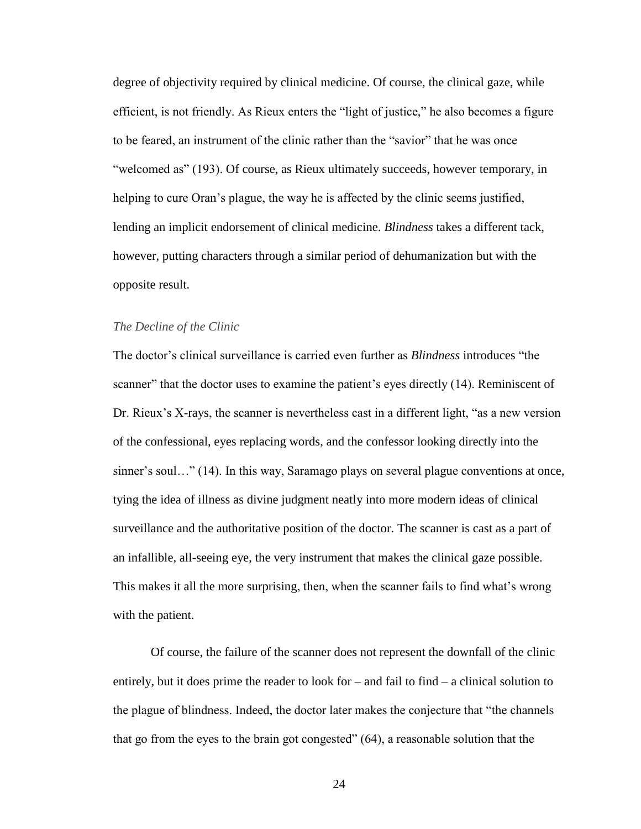degree of objectivity required by clinical medicine. Of course, the clinical gaze, while efficient, is not friendly. As Rieux enters the "light of justice," he also becomes a figure to be feared, an instrument of the clinic rather than the "savior" that he was once "welcomed as" (193). Of course, as Rieux ultimately succeeds, however temporary, in helping to cure Oran's plague, the way he is affected by the clinic seems justified, lending an implicit endorsement of clinical medicine. *Blindness* takes a different tack, however, putting characters through a similar period of dehumanization but with the opposite result.

#### *The Decline of the Clinic*

The doctor's clinical surveillance is carried even further as *Blindness* introduces "the scanner" that the doctor uses to examine the patient's eyes directly (14). Reminiscent of Dr. Rieux's X-rays, the scanner is nevertheless cast in a different light, "as a new version of the confessional, eyes replacing words, and the confessor looking directly into the sinner's soul..." (14). In this way, Saramago plays on several plague conventions at once, tying the idea of illness as divine judgment neatly into more modern ideas of clinical surveillance and the authoritative position of the doctor. The scanner is cast as a part of an infallible, all-seeing eye, the very instrument that makes the clinical gaze possible. This makes it all the more surprising, then, when the scanner fails to find what's wrong with the patient.

Of course, the failure of the scanner does not represent the downfall of the clinic entirely, but it does prime the reader to look for – and fail to find – a clinical solution to the plague of blindness. Indeed, the doctor later makes the conjecture that "the channels that go from the eyes to the brain got congested" (64), a reasonable solution that the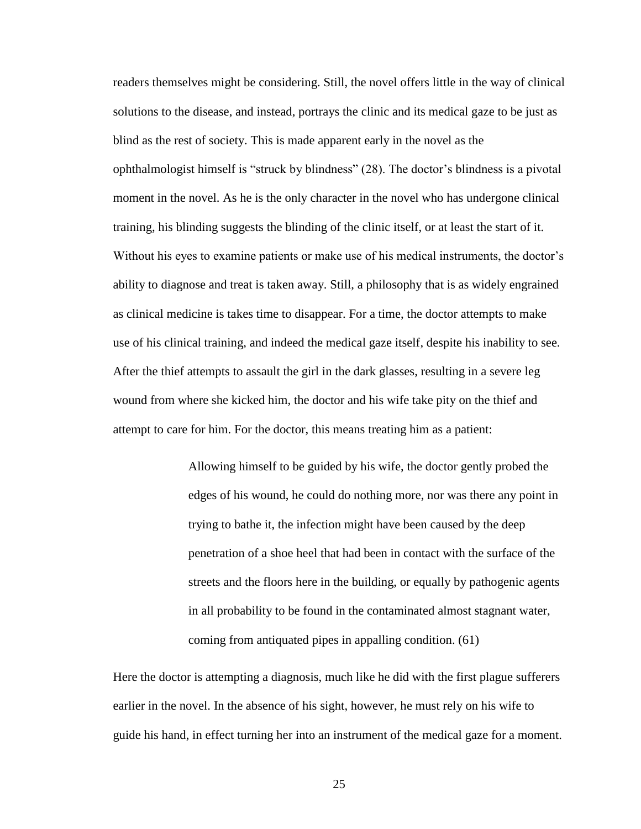readers themselves might be considering. Still, the novel offers little in the way of clinical solutions to the disease, and instead, portrays the clinic and its medical gaze to be just as blind as the rest of society. This is made apparent early in the novel as the ophthalmologist himself is "struck by blindness" (28). The doctor's blindness is a pivotal moment in the novel. As he is the only character in the novel who has undergone clinical training, his blinding suggests the blinding of the clinic itself, or at least the start of it. Without his eyes to examine patients or make use of his medical instruments, the doctor's ability to diagnose and treat is taken away. Still, a philosophy that is as widely engrained as clinical medicine is takes time to disappear. For a time, the doctor attempts to make use of his clinical training, and indeed the medical gaze itself, despite his inability to see. After the thief attempts to assault the girl in the dark glasses, resulting in a severe leg wound from where she kicked him, the doctor and his wife take pity on the thief and attempt to care for him. For the doctor, this means treating him as a patient:

> Allowing himself to be guided by his wife, the doctor gently probed the edges of his wound, he could do nothing more, nor was there any point in trying to bathe it, the infection might have been caused by the deep penetration of a shoe heel that had been in contact with the surface of the streets and the floors here in the building, or equally by pathogenic agents in all probability to be found in the contaminated almost stagnant water, coming from antiquated pipes in appalling condition. (61)

Here the doctor is attempting a diagnosis, much like he did with the first plague sufferers earlier in the novel. In the absence of his sight, however, he must rely on his wife to guide his hand, in effect turning her into an instrument of the medical gaze for a moment.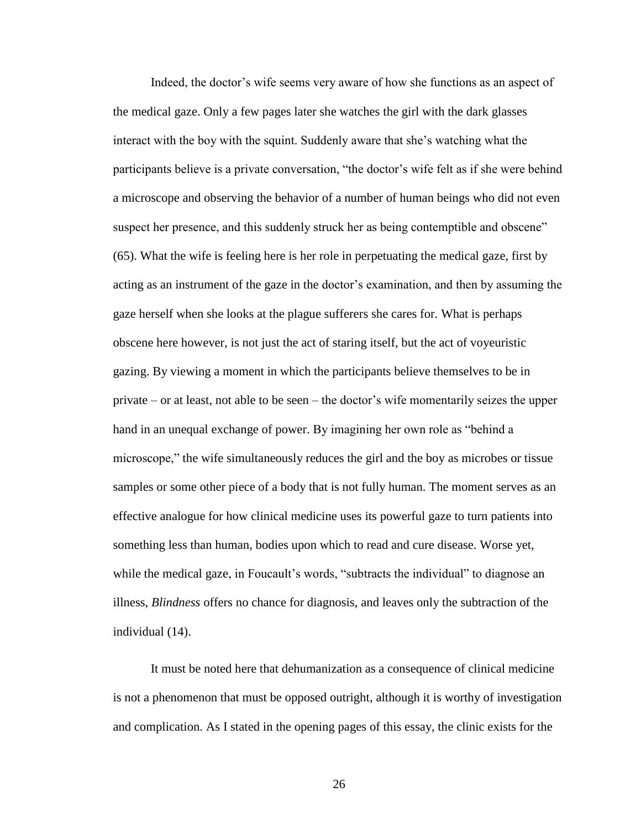Indeed, the doctor's wife seems very aware of how she functions as an aspect of the medical gaze. Only a few pages later she watches the girl with the dark glasses interact with the boy with the squint. Suddenly aware that she's watching what the participants believe is a private conversation, "the doctor's wife felt as if she were behind a microscope and observing the behavior of a number of human beings who did not even suspect her presence, and this suddenly struck her as being contemptible and obscene" (65). What the wife is feeling here is her role in perpetuating the medical gaze, first by acting as an instrument of the gaze in the doctor's examination, and then by assuming the gaze herself when she looks at the plague sufferers she cares for. What is perhaps obscene here however, is not just the act of staring itself, but the act of voyeuristic gazing. By viewing a moment in which the participants believe themselves to be in private – or at least, not able to be seen – the doctor's wife momentarily seizes the upper hand in an unequal exchange of power. By imagining her own role as "behind a microscope," the wife simultaneously reduces the girl and the boy as microbes or tissue samples or some other piece of a body that is not fully human. The moment serves as an effective analogue for how clinical medicine uses its powerful gaze to turn patients into something less than human, bodies upon which to read and cure disease. Worse yet, while the medical gaze, in Foucault's words, "subtracts the individual" to diagnose an illness, *Blindness* offers no chance for diagnosis, and leaves only the subtraction of the individual (14).

It must be noted here that dehumanization as a consequence of clinical medicine is not a phenomenon that must be opposed outright, although it is worthy of investigation and complication. As I stated in the opening pages of this essay, the clinic exists for the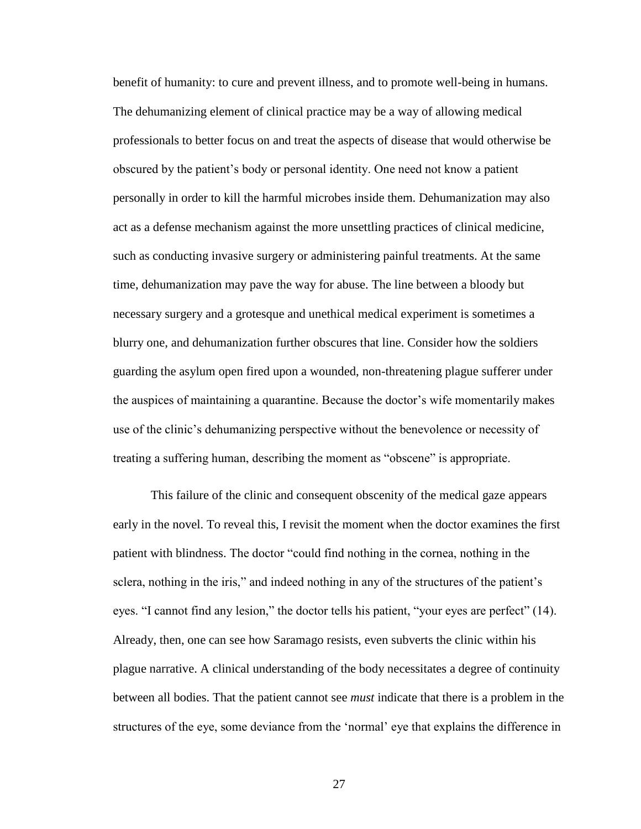benefit of humanity: to cure and prevent illness, and to promote well-being in humans. The dehumanizing element of clinical practice may be a way of allowing medical professionals to better focus on and treat the aspects of disease that would otherwise be obscured by the patient's body or personal identity. One need not know a patient personally in order to kill the harmful microbes inside them. Dehumanization may also act as a defense mechanism against the more unsettling practices of clinical medicine, such as conducting invasive surgery or administering painful treatments. At the same time, dehumanization may pave the way for abuse. The line between a bloody but necessary surgery and a grotesque and unethical medical experiment is sometimes a blurry one, and dehumanization further obscures that line. Consider how the soldiers guarding the asylum open fired upon a wounded, non-threatening plague sufferer under the auspices of maintaining a quarantine. Because the doctor's wife momentarily makes use of the clinic's dehumanizing perspective without the benevolence or necessity of treating a suffering human, describing the moment as "obscene" is appropriate.

This failure of the clinic and consequent obscenity of the medical gaze appears early in the novel. To reveal this, I revisit the moment when the doctor examines the first patient with blindness. The doctor "could find nothing in the cornea, nothing in the sclera, nothing in the iris," and indeed nothing in any of the structures of the patient's eyes. "I cannot find any lesion," the doctor tells his patient, "your eyes are perfect" (14). Already, then, one can see how Saramago resists, even subverts the clinic within his plague narrative. A clinical understanding of the body necessitates a degree of continuity between all bodies. That the patient cannot see *must* indicate that there is a problem in the structures of the eye, some deviance from the 'normal' eye that explains the difference in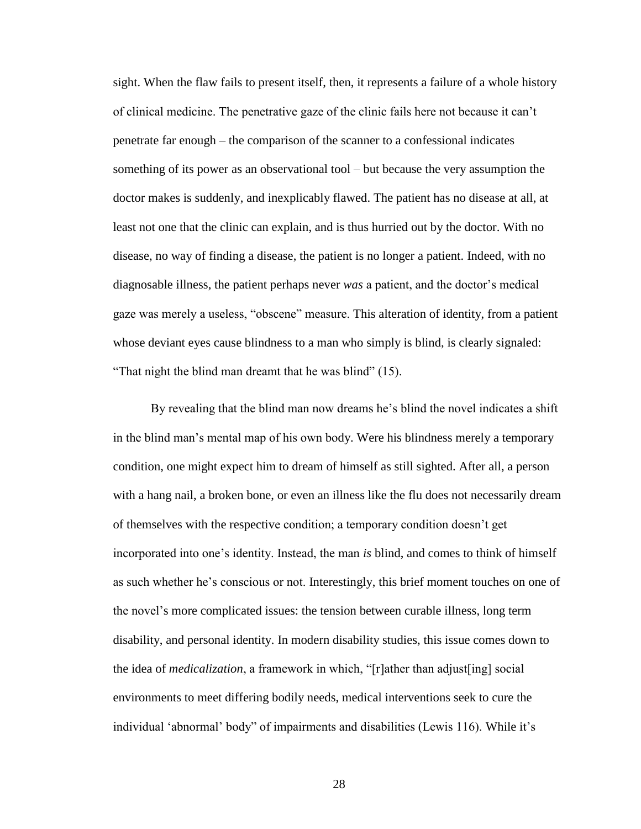sight. When the flaw fails to present itself, then, it represents a failure of a whole history of clinical medicine. The penetrative gaze of the clinic fails here not because it can't penetrate far enough – the comparison of the scanner to a confessional indicates something of its power as an observational tool – but because the very assumption the doctor makes is suddenly, and inexplicably flawed. The patient has no disease at all, at least not one that the clinic can explain, and is thus hurried out by the doctor. With no disease, no way of finding a disease, the patient is no longer a patient. Indeed, with no diagnosable illness, the patient perhaps never *was* a patient, and the doctor's medical gaze was merely a useless, "obscene" measure. This alteration of identity, from a patient whose deviant eyes cause blindness to a man who simply is blind, is clearly signaled: "That night the blind man dreamt that he was blind" (15).

By revealing that the blind man now dreams he's blind the novel indicates a shift in the blind man's mental map of his own body. Were his blindness merely a temporary condition, one might expect him to dream of himself as still sighted. After all, a person with a hang nail, a broken bone, or even an illness like the flu does not necessarily dream of themselves with the respective condition; a temporary condition doesn't get incorporated into one's identity. Instead, the man *is* blind, and comes to think of himself as such whether he's conscious or not. Interestingly, this brief moment touches on one of the novel's more complicated issues: the tension between curable illness, long term disability, and personal identity. In modern disability studies, this issue comes down to the idea of *medicalization*, a framework in which, "[r]ather than adjust[ing] social environments to meet differing bodily needs, medical interventions seek to cure the individual 'abnormal' body" of impairments and disabilities (Lewis 116). While it's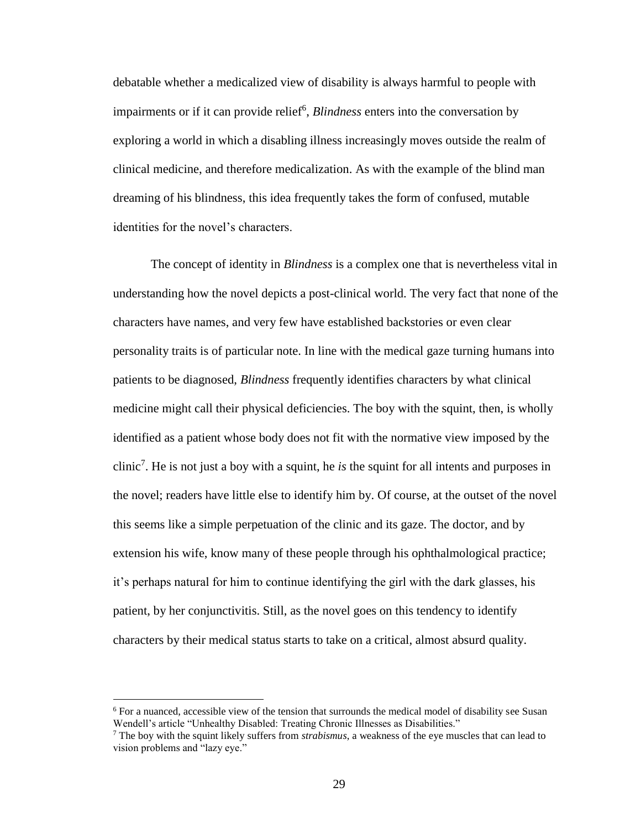debatable whether a medicalized view of disability is always harmful to people with impairments or if it can provide relief<sup>6</sup>, *Blindness* enters into the conversation by exploring a world in which a disabling illness increasingly moves outside the realm of clinical medicine, and therefore medicalization. As with the example of the blind man dreaming of his blindness, this idea frequently takes the form of confused, mutable identities for the novel's characters.

The concept of identity in *Blindness* is a complex one that is nevertheless vital in understanding how the novel depicts a post-clinical world. The very fact that none of the characters have names, and very few have established backstories or even clear personality traits is of particular note. In line with the medical gaze turning humans into patients to be diagnosed, *Blindness* frequently identifies characters by what clinical medicine might call their physical deficiencies. The boy with the squint, then, is wholly identified as a patient whose body does not fit with the normative view imposed by the clinic<sup>7</sup> . He is not just a boy with a squint, he *is* the squint for all intents and purposes in the novel; readers have little else to identify him by. Of course, at the outset of the novel this seems like a simple perpetuation of the clinic and its gaze. The doctor, and by extension his wife, know many of these people through his ophthalmological practice; it's perhaps natural for him to continue identifying the girl with the dark glasses, his patient, by her conjunctivitis. Still, as the novel goes on this tendency to identify characters by their medical status starts to take on a critical, almost absurd quality.

 $\overline{a}$ 

<sup>6</sup> For a nuanced, accessible view of the tension that surrounds the medical model of disability see Susan Wendell's article "Unhealthy Disabled: Treating Chronic Illnesses as Disabilities."

<sup>7</sup> The boy with the squint likely suffers from *strabismus*, a weakness of the eye muscles that can lead to vision problems and "lazy eye."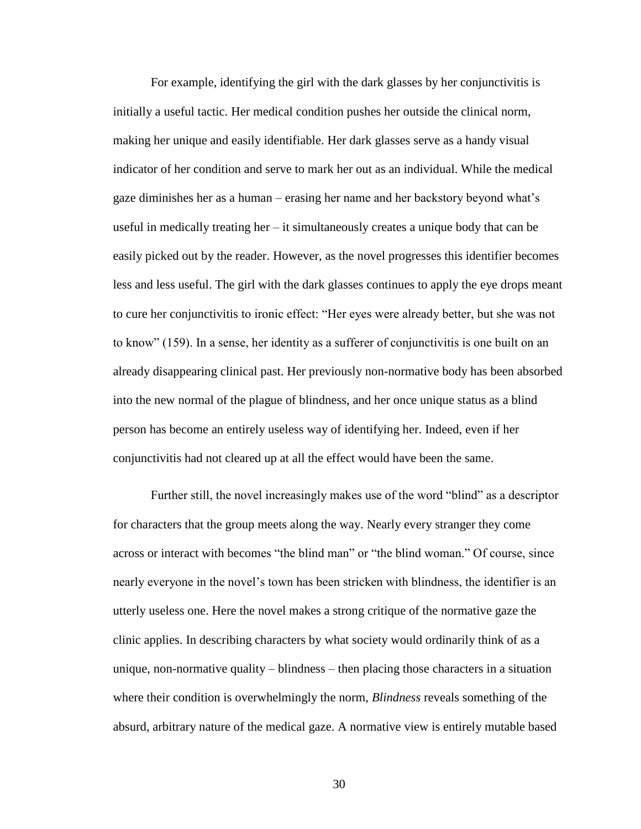For example, identifying the girl with the dark glasses by her conjunctivitis is initially a useful tactic. Her medical condition pushes her outside the clinical norm, making her unique and easily identifiable. Her dark glasses serve as a handy visual indicator of her condition and serve to mark her out as an individual. While the medical gaze diminishes her as a human – erasing her name and her backstory beyond what's useful in medically treating her  $-$  it simultaneously creates a unique body that can be easily picked out by the reader. However, as the novel progresses this identifier becomes less and less useful. The girl with the dark glasses continues to apply the eye drops meant to cure her conjunctivitis to ironic effect: "Her eyes were already better, but she was not to know" (159). In a sense, her identity as a sufferer of conjunctivitis is one built on an already disappearing clinical past. Her previously non-normative body has been absorbed into the new normal of the plague of blindness, and her once unique status as a blind person has become an entirely useless way of identifying her. Indeed, even if her conjunctivitis had not cleared up at all the effect would have been the same.

Further still, the novel increasingly makes use of the word "blind" as a descriptor for characters that the group meets along the way. Nearly every stranger they come across or interact with becomes "the blind man" or "the blind woman." Of course, since nearly everyone in the novel's town has been stricken with blindness, the identifier is an utterly useless one. Here the novel makes a strong critique of the normative gaze the clinic applies. In describing characters by what society would ordinarily think of as a unique, non-normative quality – blindness – then placing those characters in a situation where their condition is overwhelmingly the norm, *Blindness* reveals something of the absurd, arbitrary nature of the medical gaze. A normative view is entirely mutable based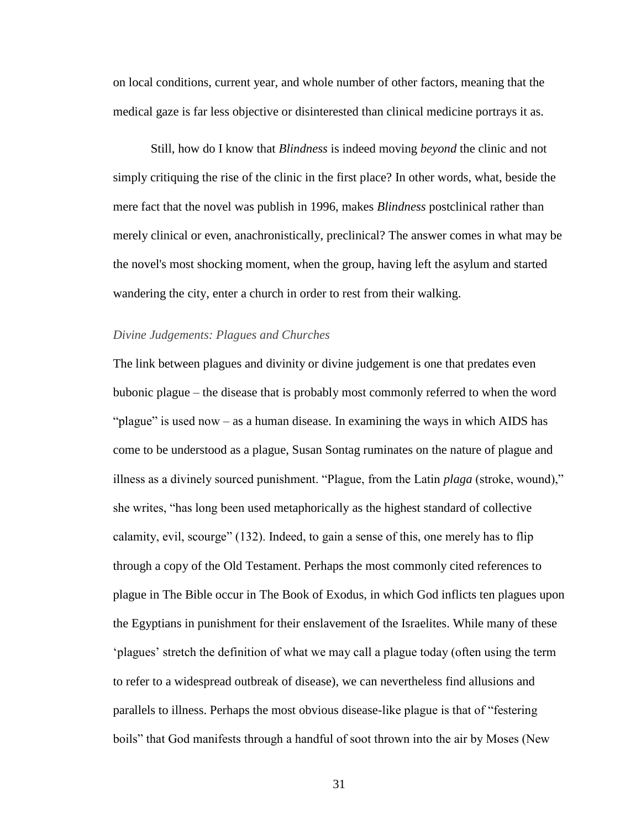on local conditions, current year, and whole number of other factors, meaning that the medical gaze is far less objective or disinterested than clinical medicine portrays it as.

Still, how do I know that *Blindness* is indeed moving *beyond* the clinic and not simply critiquing the rise of the clinic in the first place? In other words, what, beside the mere fact that the novel was publish in 1996, makes *Blindness* postclinical rather than merely clinical or even, anachronistically, preclinical? The answer comes in what may be the novel's most shocking moment, when the group, having left the asylum and started wandering the city, enter a church in order to rest from their walking.

#### *Divine Judgements: Plagues and Churches*

The link between plagues and divinity or divine judgement is one that predates even bubonic plague – the disease that is probably most commonly referred to when the word "plague" is used now – as a human disease. In examining the ways in which AIDS has come to be understood as a plague, Susan Sontag ruminates on the nature of plague and illness as a divinely sourced punishment. "Plague, from the Latin *plaga* (stroke, wound)," she writes, "has long been used metaphorically as the highest standard of collective calamity, evil, scourge" (132). Indeed, to gain a sense of this, one merely has to flip through a copy of the Old Testament. Perhaps the most commonly cited references to plague in The Bible occur in The Book of Exodus, in which God inflicts ten plagues upon the Egyptians in punishment for their enslavement of the Israelites. While many of these 'plagues' stretch the definition of what we may call a plague today (often using the term to refer to a widespread outbreak of disease), we can nevertheless find allusions and parallels to illness. Perhaps the most obvious disease-like plague is that of "festering boils" that God manifests through a handful of soot thrown into the air by Moses (New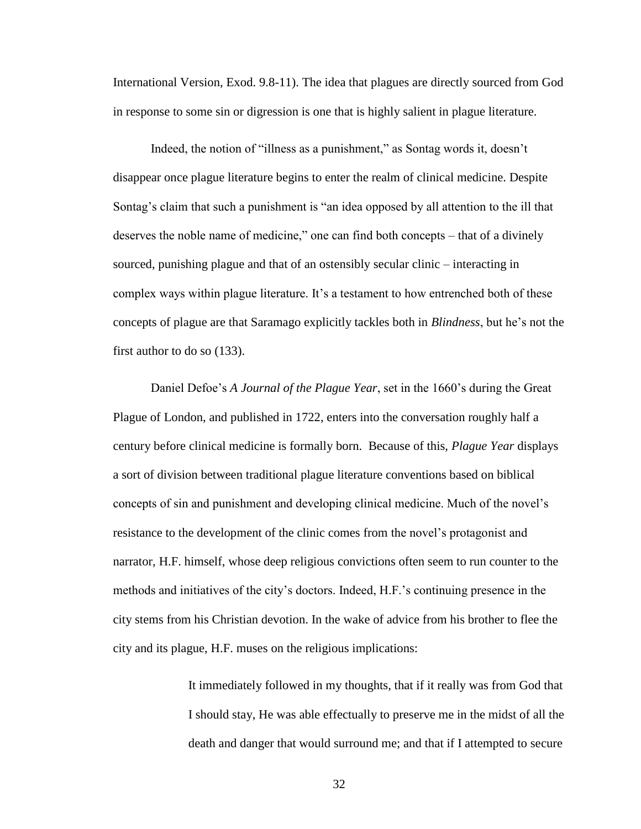International Version, Exod. 9.8-11). The idea that plagues are directly sourced from God in response to some sin or digression is one that is highly salient in plague literature.

Indeed, the notion of "illness as a punishment," as Sontag words it, doesn't disappear once plague literature begins to enter the realm of clinical medicine. Despite Sontag's claim that such a punishment is "an idea opposed by all attention to the ill that deserves the noble name of medicine," one can find both concepts – that of a divinely sourced, punishing plague and that of an ostensibly secular clinic – interacting in complex ways within plague literature. It's a testament to how entrenched both of these concepts of plague are that Saramago explicitly tackles both in *Blindness*, but he's not the first author to do so (133).

Daniel Defoe's *A Journal of the Plague Year*, set in the 1660's during the Great Plague of London, and published in 1722, enters into the conversation roughly half a century before clinical medicine is formally born. Because of this, *Plague Year* displays a sort of division between traditional plague literature conventions based on biblical concepts of sin and punishment and developing clinical medicine. Much of the novel's resistance to the development of the clinic comes from the novel's protagonist and narrator, H.F. himself, whose deep religious convictions often seem to run counter to the methods and initiatives of the city's doctors. Indeed, H.F.'s continuing presence in the city stems from his Christian devotion. In the wake of advice from his brother to flee the city and its plague, H.F. muses on the religious implications:

> It immediately followed in my thoughts, that if it really was from God that I should stay, He was able effectually to preserve me in the midst of all the death and danger that would surround me; and that if I attempted to secure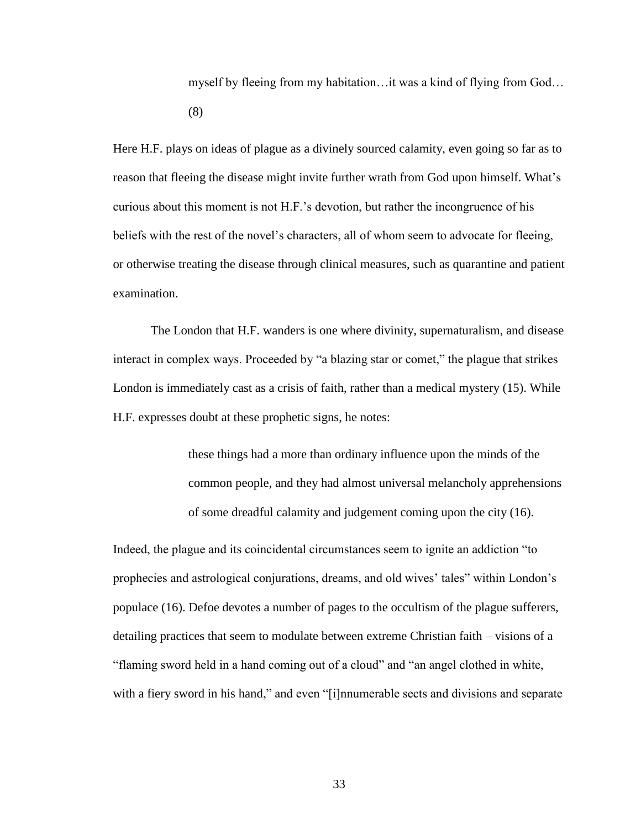myself by fleeing from my habitation…it was a kind of flying from God… (8)

Here H.F. plays on ideas of plague as a divinely sourced calamity, even going so far as to reason that fleeing the disease might invite further wrath from God upon himself. What's curious about this moment is not H.F.'s devotion, but rather the incongruence of his beliefs with the rest of the novel's characters, all of whom seem to advocate for fleeing, or otherwise treating the disease through clinical measures, such as quarantine and patient examination.

The London that H.F. wanders is one where divinity, supernaturalism, and disease interact in complex ways. Proceeded by "a blazing star or comet," the plague that strikes London is immediately cast as a crisis of faith, rather than a medical mystery (15). While H.F. expresses doubt at these prophetic signs, he notes:

> these things had a more than ordinary influence upon the minds of the common people, and they had almost universal melancholy apprehensions of some dreadful calamity and judgement coming upon the city (16).

Indeed, the plague and its coincidental circumstances seem to ignite an addiction "to prophecies and astrological conjurations, dreams, and old wives' tales" within London's populace (16). Defoe devotes a number of pages to the occultism of the plague sufferers, detailing practices that seem to modulate between extreme Christian faith – visions of a "flaming sword held in a hand coming out of a cloud" and "an angel clothed in white, with a fiery sword in his hand," and even "[i]nnumerable sects and divisions and separate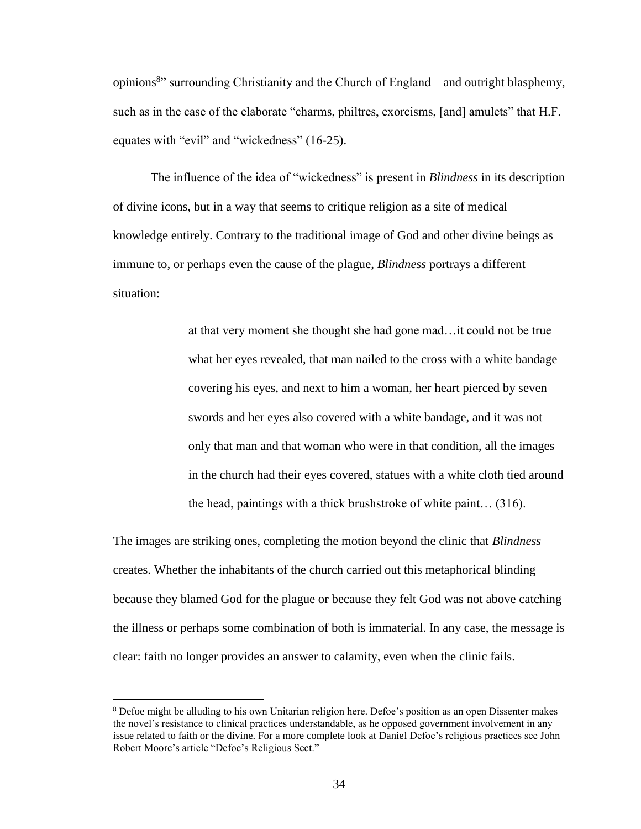opinions<sup>8</sup>" surrounding Christianity and the Church of England – and outright blasphemy, such as in the case of the elaborate "charms, philtres, exorcisms, [and] amulets" that H.F. equates with "evil" and "wickedness" (16-25).

The influence of the idea of "wickedness" is present in *Blindness* in its description of divine icons, but in a way that seems to critique religion as a site of medical knowledge entirely. Contrary to the traditional image of God and other divine beings as immune to, or perhaps even the cause of the plague, *Blindness* portrays a different situation:

> at that very moment she thought she had gone mad…it could not be true what her eyes revealed, that man nailed to the cross with a white bandage covering his eyes, and next to him a woman, her heart pierced by seven swords and her eyes also covered with a white bandage, and it was not only that man and that woman who were in that condition, all the images in the church had their eyes covered, statues with a white cloth tied around the head, paintings with a thick brushstroke of white paint… (316).

The images are striking ones, completing the motion beyond the clinic that *Blindness*  creates. Whether the inhabitants of the church carried out this metaphorical blinding because they blamed God for the plague or because they felt God was not above catching the illness or perhaps some combination of both is immaterial. In any case, the message is clear: faith no longer provides an answer to calamity, even when the clinic fails.

 $\overline{a}$ 

<sup>8</sup> Defoe might be alluding to his own Unitarian religion here. Defoe's position as an open Dissenter makes the novel's resistance to clinical practices understandable, as he opposed government involvement in any issue related to faith or the divine. For a more complete look at Daniel Defoe's religious practices see John Robert Moore's article "Defoe's Religious Sect."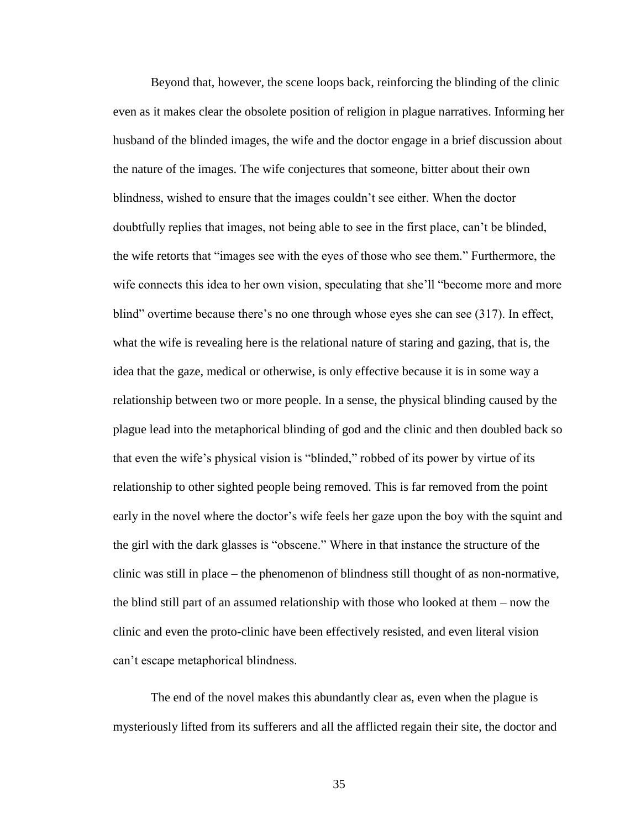Beyond that, however, the scene loops back, reinforcing the blinding of the clinic even as it makes clear the obsolete position of religion in plague narratives. Informing her husband of the blinded images, the wife and the doctor engage in a brief discussion about the nature of the images. The wife conjectures that someone, bitter about their own blindness, wished to ensure that the images couldn't see either. When the doctor doubtfully replies that images, not being able to see in the first place, can't be blinded, the wife retorts that "images see with the eyes of those who see them." Furthermore, the wife connects this idea to her own vision, speculating that she'll "become more and more blind" overtime because there's no one through whose eyes she can see (317). In effect, what the wife is revealing here is the relational nature of staring and gazing, that is, the idea that the gaze, medical or otherwise, is only effective because it is in some way a relationship between two or more people. In a sense, the physical blinding caused by the plague lead into the metaphorical blinding of god and the clinic and then doubled back so that even the wife's physical vision is "blinded," robbed of its power by virtue of its relationship to other sighted people being removed. This is far removed from the point early in the novel where the doctor's wife feels her gaze upon the boy with the squint and the girl with the dark glasses is "obscene." Where in that instance the structure of the clinic was still in place – the phenomenon of blindness still thought of as non-normative, the blind still part of an assumed relationship with those who looked at them – now the clinic and even the proto-clinic have been effectively resisted, and even literal vision can't escape metaphorical blindness.

The end of the novel makes this abundantly clear as, even when the plague is mysteriously lifted from its sufferers and all the afflicted regain their site, the doctor and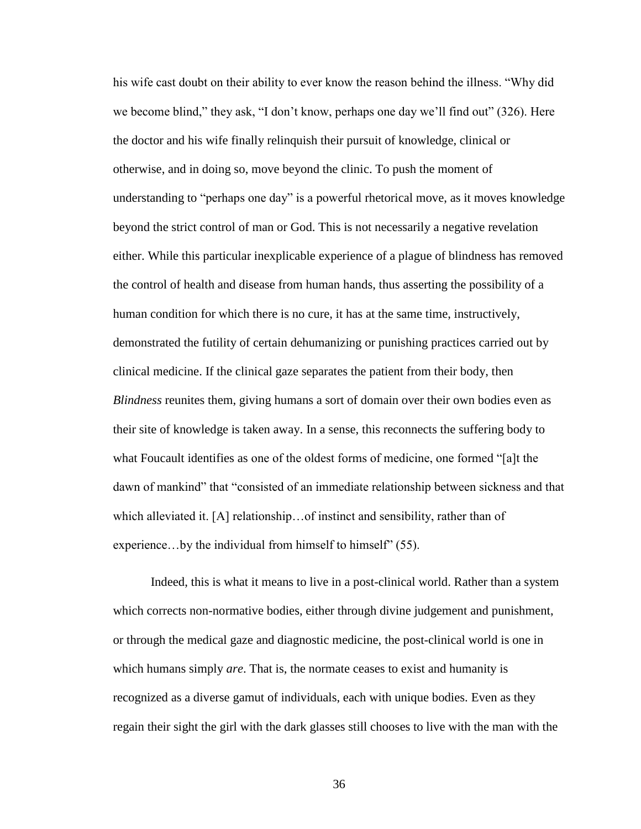his wife cast doubt on their ability to ever know the reason behind the illness. "Why did we become blind," they ask, "I don't know, perhaps one day we'll find out" (326). Here the doctor and his wife finally relinquish their pursuit of knowledge, clinical or otherwise, and in doing so, move beyond the clinic. To push the moment of understanding to "perhaps one day" is a powerful rhetorical move, as it moves knowledge beyond the strict control of man or God. This is not necessarily a negative revelation either. While this particular inexplicable experience of a plague of blindness has removed the control of health and disease from human hands, thus asserting the possibility of a human condition for which there is no cure, it has at the same time, instructively, demonstrated the futility of certain dehumanizing or punishing practices carried out by clinical medicine. If the clinical gaze separates the patient from their body, then *Blindness* reunites them, giving humans a sort of domain over their own bodies even as their site of knowledge is taken away. In a sense, this reconnects the suffering body to what Foucault identifies as one of the oldest forms of medicine, one formed "[a]t the dawn of mankind" that "consisted of an immediate relationship between sickness and that which alleviated it. [A] relationship... of instinct and sensibility, rather than of experience...by the individual from himself to himself" (55).

Indeed, this is what it means to live in a post-clinical world. Rather than a system which corrects non-normative bodies, either through divine judgement and punishment, or through the medical gaze and diagnostic medicine, the post-clinical world is one in which humans simply *are*. That is, the normate ceases to exist and humanity is recognized as a diverse gamut of individuals, each with unique bodies. Even as they regain their sight the girl with the dark glasses still chooses to live with the man with the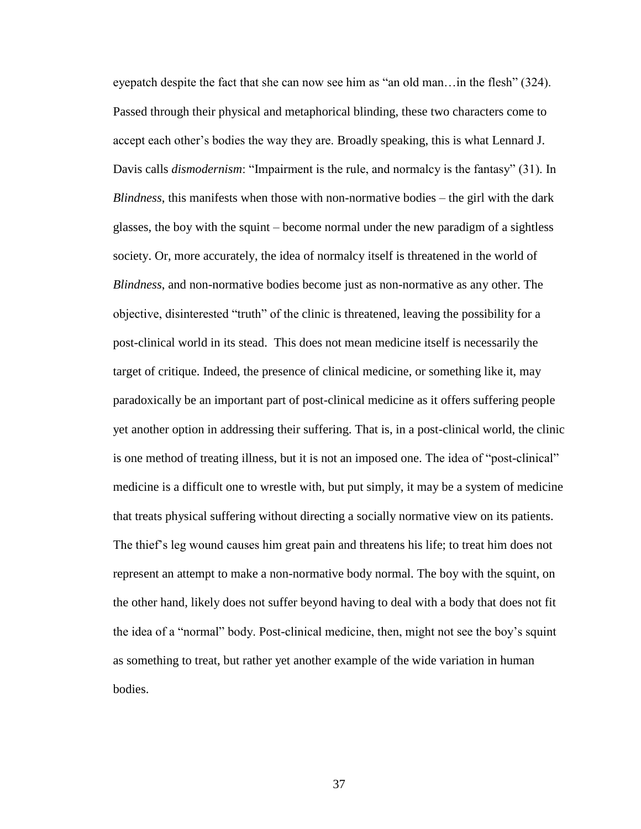eyepatch despite the fact that she can now see him as "an old man…in the flesh" (324). Passed through their physical and metaphorical blinding, these two characters come to accept each other's bodies the way they are. Broadly speaking, this is what Lennard J. Davis calls *dismodernism*: "Impairment is the rule, and normalcy is the fantasy" (31). In *Blindness*, this manifests when those with non-normative bodies – the girl with the dark glasses, the boy with the squint – become normal under the new paradigm of a sightless society. Or, more accurately, the idea of normalcy itself is threatened in the world of *Blindness*, and non-normative bodies become just as non-normative as any other. The objective, disinterested "truth" of the clinic is threatened, leaving the possibility for a post-clinical world in its stead. This does not mean medicine itself is necessarily the target of critique. Indeed, the presence of clinical medicine, or something like it, may paradoxically be an important part of post-clinical medicine as it offers suffering people yet another option in addressing their suffering. That is, in a post-clinical world, the clinic is one method of treating illness, but it is not an imposed one. The idea of "post-clinical" medicine is a difficult one to wrestle with, but put simply, it may be a system of medicine that treats physical suffering without directing a socially normative view on its patients. The thief's leg wound causes him great pain and threatens his life; to treat him does not represent an attempt to make a non-normative body normal. The boy with the squint, on the other hand, likely does not suffer beyond having to deal with a body that does not fit the idea of a "normal" body. Post-clinical medicine, then, might not see the boy's squint as something to treat, but rather yet another example of the wide variation in human bodies.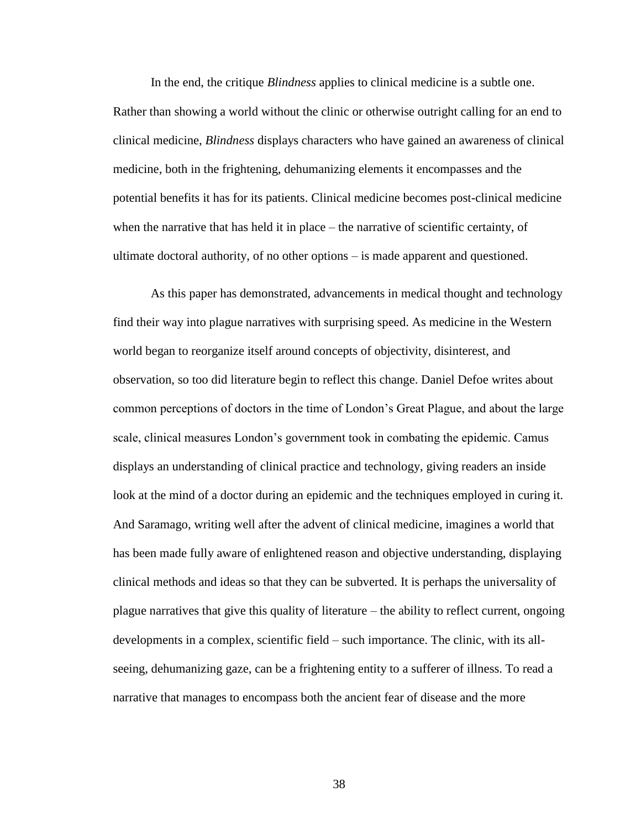In the end, the critique *Blindness* applies to clinical medicine is a subtle one. Rather than showing a world without the clinic or otherwise outright calling for an end to clinical medicine, *Blindness* displays characters who have gained an awareness of clinical medicine, both in the frightening, dehumanizing elements it encompasses and the potential benefits it has for its patients. Clinical medicine becomes post-clinical medicine when the narrative that has held it in place – the narrative of scientific certainty, of ultimate doctoral authority, of no other options – is made apparent and questioned.

As this paper has demonstrated, advancements in medical thought and technology find their way into plague narratives with surprising speed. As medicine in the Western world began to reorganize itself around concepts of objectivity, disinterest, and observation, so too did literature begin to reflect this change. Daniel Defoe writes about common perceptions of doctors in the time of London's Great Plague, and about the large scale, clinical measures London's government took in combating the epidemic. Camus displays an understanding of clinical practice and technology, giving readers an inside look at the mind of a doctor during an epidemic and the techniques employed in curing it. And Saramago, writing well after the advent of clinical medicine, imagines a world that has been made fully aware of enlightened reason and objective understanding, displaying clinical methods and ideas so that they can be subverted. It is perhaps the universality of plague narratives that give this quality of literature – the ability to reflect current, ongoing developments in a complex, scientific field – such importance. The clinic, with its allseeing, dehumanizing gaze, can be a frightening entity to a sufferer of illness. To read a narrative that manages to encompass both the ancient fear of disease and the more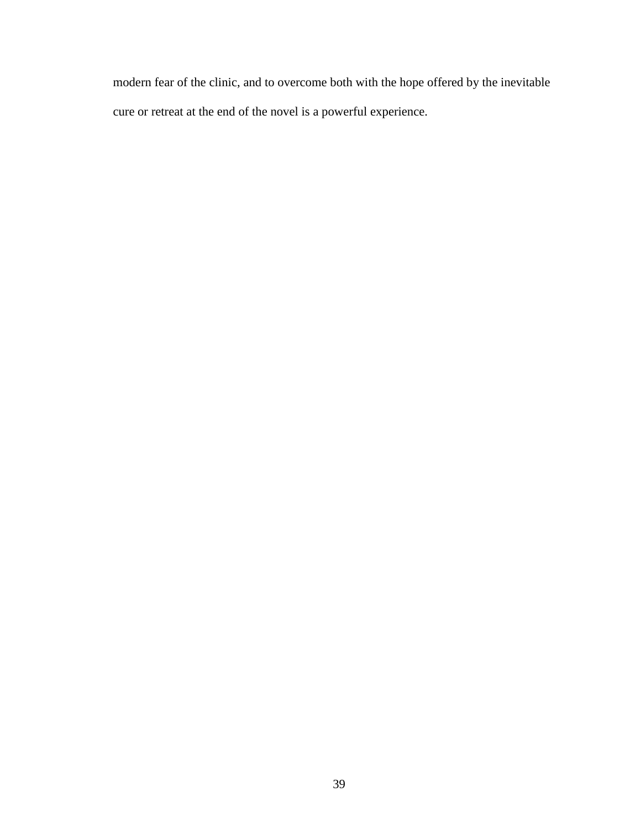modern fear of the clinic, and to overcome both with the hope offered by the inevitable cure or retreat at the end of the novel is a powerful experience.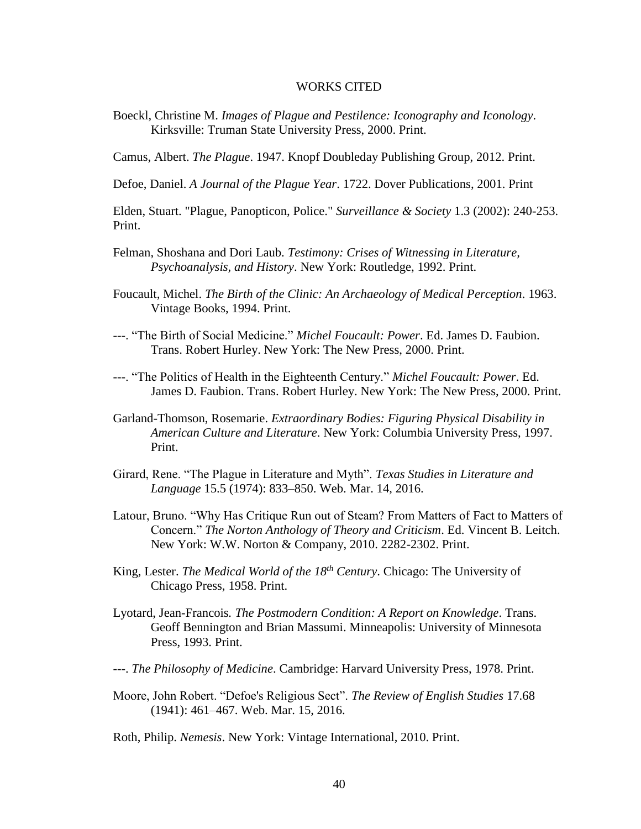#### WORKS CITED

Boeckl, Christine M. *Images of Plague and Pestilence: Iconography and Iconology*. Kirksville: Truman State University Press, 2000. Print.

Camus, Albert. *The Plague*. 1947. Knopf Doubleday Publishing Group, 2012. Print.

Defoe, Daniel. *A Journal of the Plague Year*. 1722. Dover Publications, 2001. Print

Elden, Stuart. "Plague, Panopticon, Police." *Surveillance & Society* 1.3 (2002): 240-253. Print.

- Felman, Shoshana and Dori Laub. *Testimony: Crises of Witnessing in Literature, Psychoanalysis, and History*. New York: Routledge, 1992. Print.
- Foucault, Michel. *The Birth of the Clinic: An Archaeology of Medical Perception*. 1963. Vintage Books, 1994. Print.
- ---. "The Birth of Social Medicine." *Michel Foucault: Power*. Ed. James D. Faubion. Trans. Robert Hurley. New York: The New Press, 2000. Print.
- ---. "The Politics of Health in the Eighteenth Century." *Michel Foucault: Power*. Ed. James D. Faubion. Trans. Robert Hurley. New York: The New Press, 2000. Print.
- Garland-Thomson, Rosemarie. *Extraordinary Bodies: Figuring Physical Disability in American Culture and Literature*. New York: Columbia University Press, 1997. Print.
- Girard, Rene. "The Plague in Literature and Myth". *Texas Studies in Literature and Language* 15.5 (1974): 833–850. Web. Mar. 14, 2016.
- Latour, Bruno. "Why Has Critique Run out of Steam? From Matters of Fact to Matters of Concern." *The Norton Anthology of Theory and Criticism*. Ed. Vincent B. Leitch. New York: W.W. Norton & Company, 2010. 2282-2302. Print.
- King, Lester. *The Medical World of the 18th Century*. Chicago: The University of Chicago Press, 1958. Print.
- Lyotard, Jean-Francois*. The Postmodern Condition: A Report on Knowledge*. Trans. Geoff Bennington and Brian Massumi. Minneapolis: University of Minnesota Press, 1993. Print.
- ---. *The Philosophy of Medicine*. Cambridge: Harvard University Press, 1978. Print.
- Moore, John Robert. "Defoe's Religious Sect". *The Review of English Studies* 17.68 (1941): 461–467. Web. Mar. 15, 2016.

Roth, Philip. *Nemesis*. New York: Vintage International, 2010. Print.